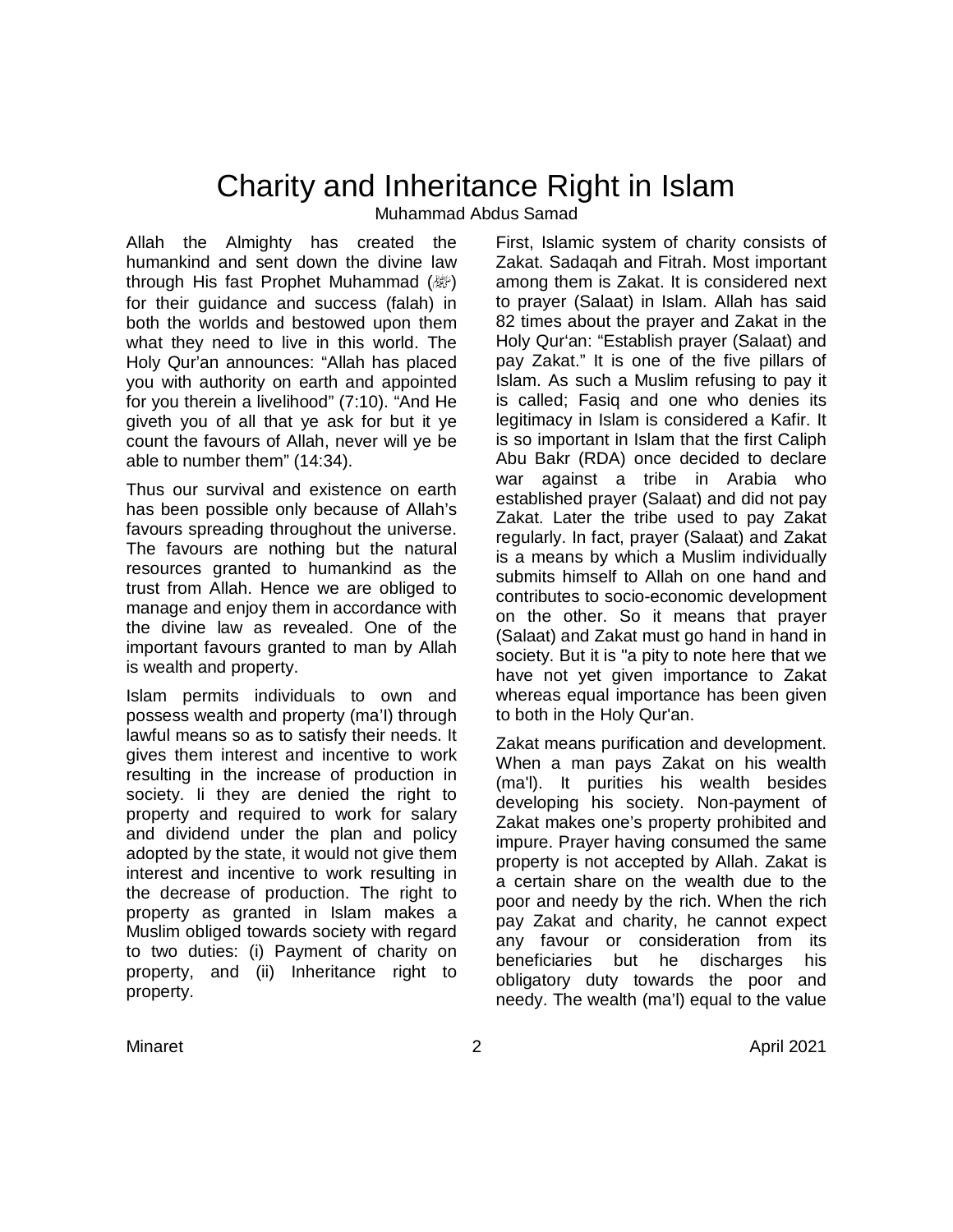# Charity and Inheritance Right in Islam Muhammad Abdus Samad

Allah the Almighty has created the humankind and sent down the divine law through His fast Prophet Muhammad (صلى الله عليه وسلم ( for their guidance and success (falah) in both the worlds and bestowed upon them what they need to live in this world. The Holy Qur'an announces: "Allah has placed you with authority on earth and appointed for you therein a livelihood" (7:10). "And He giveth you of all that ye ask for but it ye count the favours of Allah, never will ye be able to number them" (14:34).

Thus our survival and existence on earth has been possible only because of Allah's favours spreading throughout the universe. The favours are nothing but the natural resources granted to humankind as the trust from Allah. Hence we are obliged to manage and enjoy them in accordance with the divine law as revealed. One of the important favours granted to man by Allah is wealth and property.

Islam permits individuals to own and possess wealth and property (ma'I) through lawful means so as to satisfy their needs. It gives them interest and incentive to work resulting in the increase of production in society. Ii they are denied the right to property and required to work for salary and dividend under the plan and policy adopted by the state, it would not give them interest and incentive to work resulting in the decrease of production. The right to property as granted in Islam makes a Muslim obliged towards society with regard to two duties: (i) Payment of charity on property, and (ii) Inheritance right to property.

First, Islamic system of charity consists of Zakat. Sadaqah and Fitrah. Most important among them is Zakat. It is considered next to prayer (Salaat) in Islam. Allah has said 82 times about the prayer and Zakat in the Holy Qur'an: "Establish prayer (Salaat) and pay Zakat." It is one of the five pillars of Islam. As such a Muslim refusing to pay it is called; Fasiq and one who denies its legitimacy in Islam is considered a Kafir. It is so important in Islam that the first Caliph Abu Bakr (RDA) once decided to declare war against a tribe in Arabia who established prayer (Salaat) and did not pay Zakat. Later the tribe used to pay Zakat regularly. In fact, prayer (Salaat) and Zakat is a means by which a Muslim individually submits himself to Allah on one hand and contributes to socio-economic development on the other. So it means that prayer (Salaat) and Zakat must go hand in hand in society. But it is "a pity to note here that we have not yet given importance to Zakat whereas equal importance has been given to both in the Holy Qur'an.

Zakat means purification and development. When a man pays Zakat on his wealth (ma'l). It purities his wealth besides developing his society. Non-payment of Zakat makes one's property prohibited and impure. Prayer having consumed the same property is not accepted by Allah. Zakat is a certain share on the wealth due to the poor and needy by the rich. When the rich pay Zakat and charity, he cannot expect any favour or consideration from its beneficiaries but he discharges his obligatory duty towards the poor and needy. The wealth (ma'l) equal to the value

Minaret 2 April 2021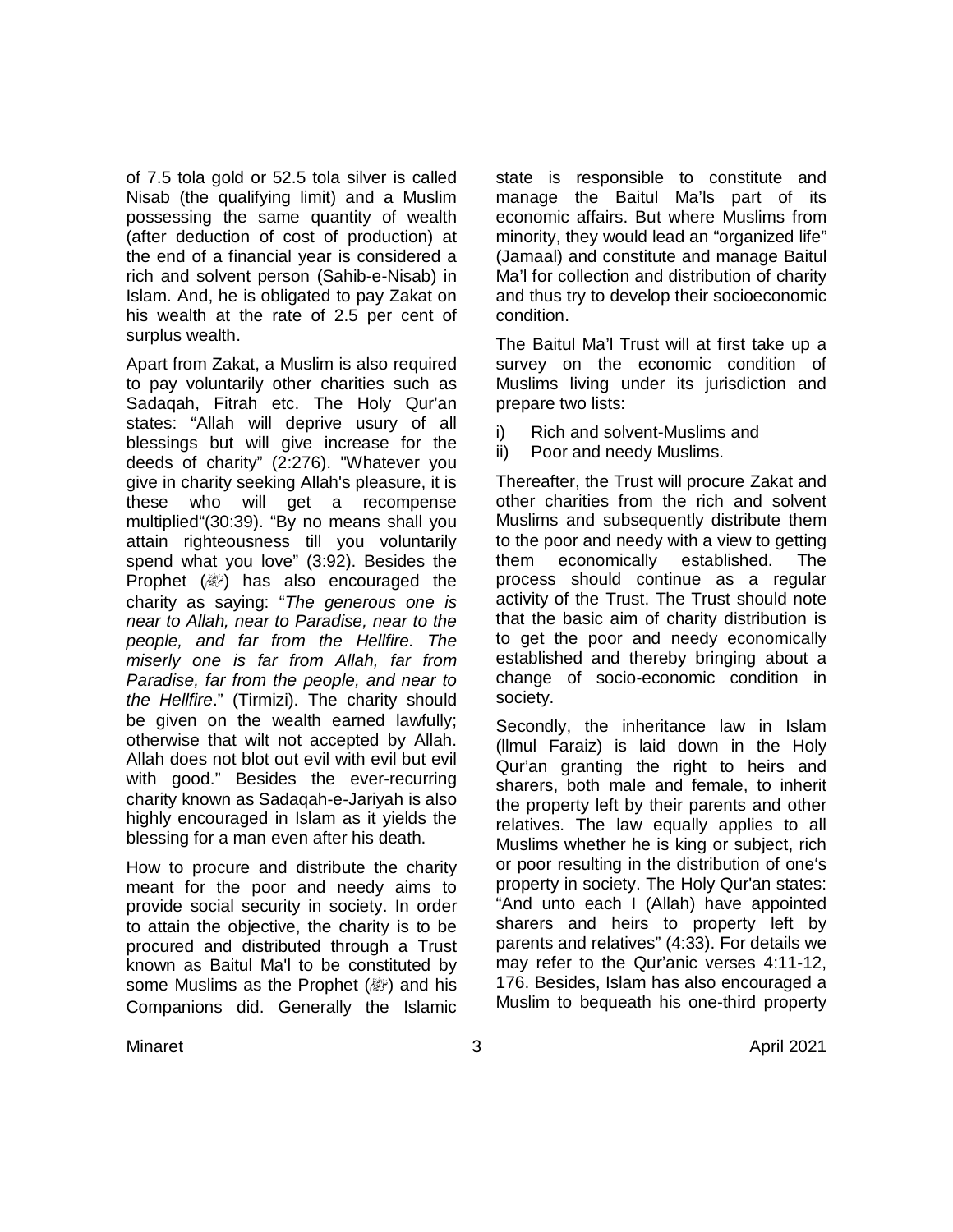of 7.5 tola gold or 52.5 tola silver is called Nisab (the qualifying limit) and a Muslim possessing the same quantity of wealth (after deduction of cost of production) at the end of a financial year is considered a rich and solvent person (Sahib-e-Nisab) in Islam. And, he is obligated to pay Zakat on his wealth at the rate of 2.5 per cent of surplus wealth.

Apart from Zakat, a Muslim is also required to pay voluntarily other charities such as Sadaqah, Fitrah etc. The Holy Qur'an states: "Allah will deprive usury of all blessings but will give increase for the deeds of charity" (2:276). "Whatever you give in charity seeking Allah's pleasure, it is these who will get a recompense multiplied"(30:39). "By no means shall you attain righteousness till you voluntarily spend what you love" (3:92). Besides the Prophet (變) has also encouraged the charity as saying: "*The generous one is near to Allah, near to Paradise, near to the people, and far from the Hellfire. The miserly one is far from Allah, far from Paradise, far from the people, and near to the Hellfire*." (Tirmizi). The charity should be given on the wealth earned lawfully; otherwise that wilt not accepted by Allah. Allah does not blot out evil with evil but evil with good." Besides the ever-recurring charity known as Sadaqah-e-Jariyah is also highly encouraged in Islam as it yields the blessing for a man even after his death.

How to procure and distribute the charity meant for the poor and needy aims to provide social security in society. In order to attain the objective, the charity is to be procured and distributed through a Trust known as Baitul Ma'l to be constituted by some Muslims as the Prophet (@) and his Companions did. Generally the Islamic

state is responsible to constitute and manage the Baitul Ma'ls part of its economic affairs. But where Muslims from minority, they would lead an "organized life" (Jamaal) and constitute and manage Baitul Ma'l for collection and distribution of charity and thus try to develop their socioeconomic condition.

The Baitul Ma'l Trust will at first take up a survey on the economic condition of Muslims living under its jurisdiction and prepare two lists:

- i) Rich and solvent-Muslims and
- ii) Poor and needy Muslims.

Thereafter, the Trust will procure Zakat and other charities from the rich and solvent Muslims and subsequently distribute them to the poor and needy with a view to getting them economically established. The process should continue as a regular activity of the Trust. The Trust should note that the basic aim of charity distribution is to get the poor and needy economically established and thereby bringing about a change of socio-economic condition in society.

Secondly, the inheritance law in Islam (llmul Faraiz) is laid down in the Holy Qur'an granting the right to heirs and sharers, both male and female, to inherit the property left by their parents and other relatives. The law equally applies to all Muslims whether he is king or subject, rich or poor resulting in the distribution of one's property in society. The Holy Qur'an states: "And unto each I (Allah) have appointed sharers and heirs to property left by parents and relatives" (4:33). For details we may refer to the Qur'anic verses 4:11-12, 176. Besides, Islam has also encouraged a Muslim to bequeath his one-third property

Minaret 3 April 2021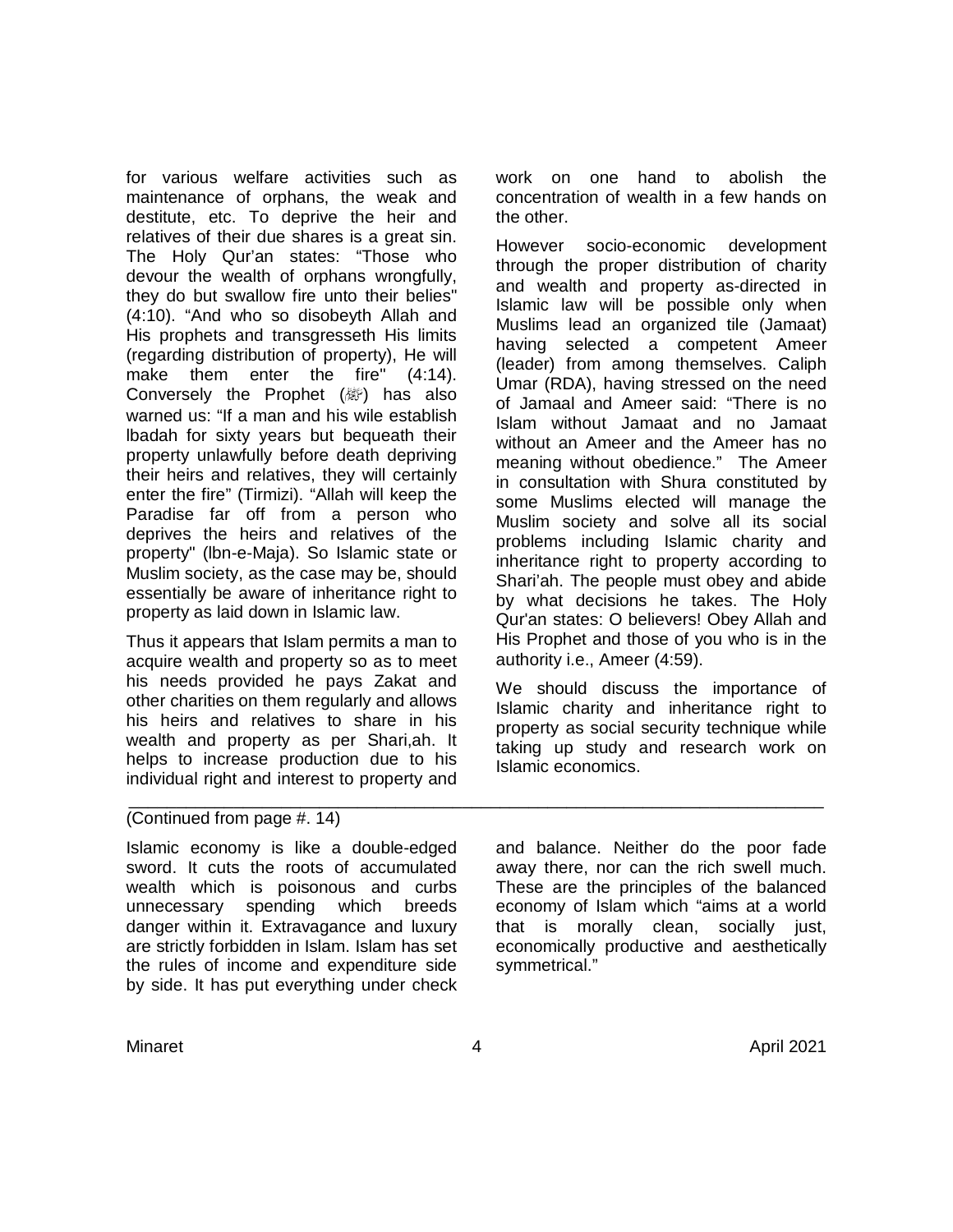for various welfare activities such as maintenance of orphans, the weak and destitute, etc. To deprive the heir and relatives of their due shares is a great sin. The Holy Qur'an states: "Those who devour the wealth of orphans wrongfully, they do but swallow fire unto their belies" (4:10). "And who so disobeyth Allah and His prophets and transgresseth His limits (regarding distribution of property), He will make them enter the fire" (4:14). Conversely the Prophet  $(\mathbb{R})$  has also warned us: "If a man and his wile establish lbadah for sixty years but bequeath their property unlawfully before death depriving their heirs and relatives, they will certainly enter the fire" (Tirmizi). "Allah will keep the Paradise far off from a person who deprives the heirs and relatives of the property" (lbn-e-Maja). So Islamic state or Muslim society, as the case may be, should essentially be aware of inheritance right to property as laid down in Islamic law.

Thus it appears that Islam permits a man to acquire wealth and property so as to meet his needs provided he pays Zakat and other charities on them regularly and allows his heirs and relatives to share in his wealth and property as per Shari,ah. It helps to increase production due to his individual right and interest to property and

work on one hand to abolish the concentration of wealth in a few hands on the other.

However socio-economic development through the proper distribution of charity and wealth and property as-directed in Islamic law will be possible only when Muslims lead an organized tile (Jamaat) having selected a competent Ameer (leader) from among themselves. Caliph Umar (RDA), having stressed on the need of Jamaal and Ameer said: "There is no Islam without Jamaat and no Jamaat without an Ameer and the Ameer has no meaning without obedience." The Ameer in consultation with Shura constituted by some Muslims elected will manage the Muslim society and solve all its social problems including Islamic charity and inheritance right to property according to Shari'ah. The people must obey and abide by what decisions he takes. The Holy Qur'an states: O believers! Obey Allah and His Prophet and those of you who is in the authority i.e., Ameer (4:59).

We should discuss the importance of Islamic charity and inheritance right to property as social security technique while taking up study and research work on Islamic economics.

#### \_\_\_\_\_\_\_\_\_\_\_\_\_\_\_\_\_\_\_\_\_\_\_\_\_\_\_\_\_\_\_\_\_\_\_\_\_\_\_\_\_\_\_\_\_\_\_\_\_\_\_\_\_\_\_\_\_\_\_\_\_\_\_\_\_\_\_\_\_\_\_\_\_ (Continued from page #. 14)

Islamic economy is like a double-edged sword. It cuts the roots of accumulated wealth which is poisonous and curbs unnecessary spending which breeds danger within it. Extravagance and luxury are strictly forbidden in Islam. Islam has set the rules of income and expenditure side by side. It has put everything under check

and balance. Neither do the poor fade away there, nor can the rich swell much. These are the principles of the balanced economy of Islam which "aims at a world that is morally clean, socially just, economically productive and aesthetically symmetrical."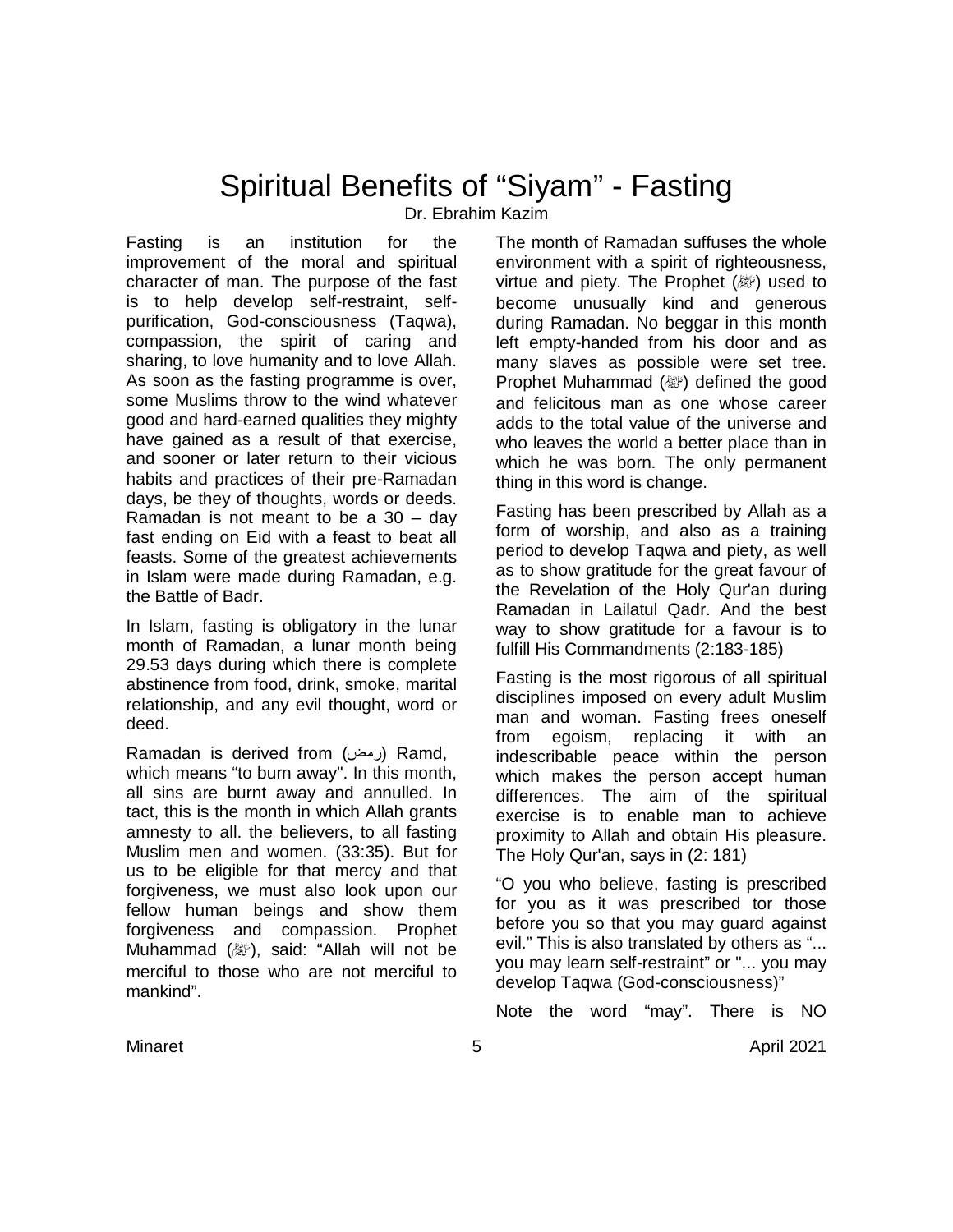# Spiritual Benefits of "Siyam" - Fasting Dr. Ebrahim Kazim

Fasting is an institution for the improvement of the moral and spiritual character of man. The purpose of the fast is to help develop self-restraint, selfpurification, God-consciousness (Taqwa), compassion, the spirit of caring and sharing, to love humanity and to love Allah. As soon as the fasting programme is over, some Muslims throw to the wind whatever good and hard-earned qualities they mighty have gained as a result of that exercise, and sooner or later return to their vicious habits and practices of their pre-Ramadan days, be they of thoughts, words or deeds. Ramadan is not meant to be a 30 – day fast ending on Eid with a feast to beat all feasts. Some of the greatest achievements in Islam were made during Ramadan, e.g. the Battle of Badr.

In Islam, fasting is obligatory in the lunar month of Ramadan, a lunar month being 29.53 days during which there is complete abstinence from food, drink, smoke, marital relationship, and any evil thought, word or deed.

Ramadan is derived from (رمض (Ramd, which means "to burn away". In this month, all sins are burnt away and annulled. In tact, this is the month in which Allah grants amnesty to all. the believers, to all fasting Muslim men and women. (33:35). But for us to be eligible for that mercy and that forgiveness, we must also look upon our fellow human beings and show them forgiveness and compassion. Prophet Muhammad ( ), said: "Allah will not be merciful to those who are not merciful to mankind".

The month of Ramadan suffuses the whole environment with a spirit of righteousness, virtue and piety. The Prophet  $(\mathbb{Z})$  used to become unusually kind and generous during Ramadan. No beggar in this month left empty-handed from his door and as many slaves as possible were set tree. Prophet Muhammad (ﷺ) defined the good and felicitous man as one whose career adds to the total value of the universe and who leaves the world a better place than in which he was born. The only permanent thing in this word is change.

Fasting has been prescribed by Allah as a form of worship, and also as a training period to develop Taqwa and piety, as well as to show gratitude for the great favour of the Revelation of the Holy Qur'an during Ramadan in Lailatul Qadr. And the best way to show gratitude for a favour is to fulfill His Commandments (2:183-185)

Fasting is the most rigorous of all spiritual disciplines imposed on every adult Muslim man and woman. Fasting frees oneself from egoism, replacing it with an indescribable peace within the person which makes the person accept human differences. The aim of the spiritual exercise is to enable man to achieve proximity to Allah and obtain His pleasure. The Holy Qur'an, says in (2: 181)

"O you who believe, fasting is prescribed for you as it was prescribed tor those before you so that you may guard against evil." This is also translated by others as "... you may learn self-restraint" or "... you may develop Taqwa (God-consciousness)"

Note the word "may". There is NO

Minaret 5 April 2021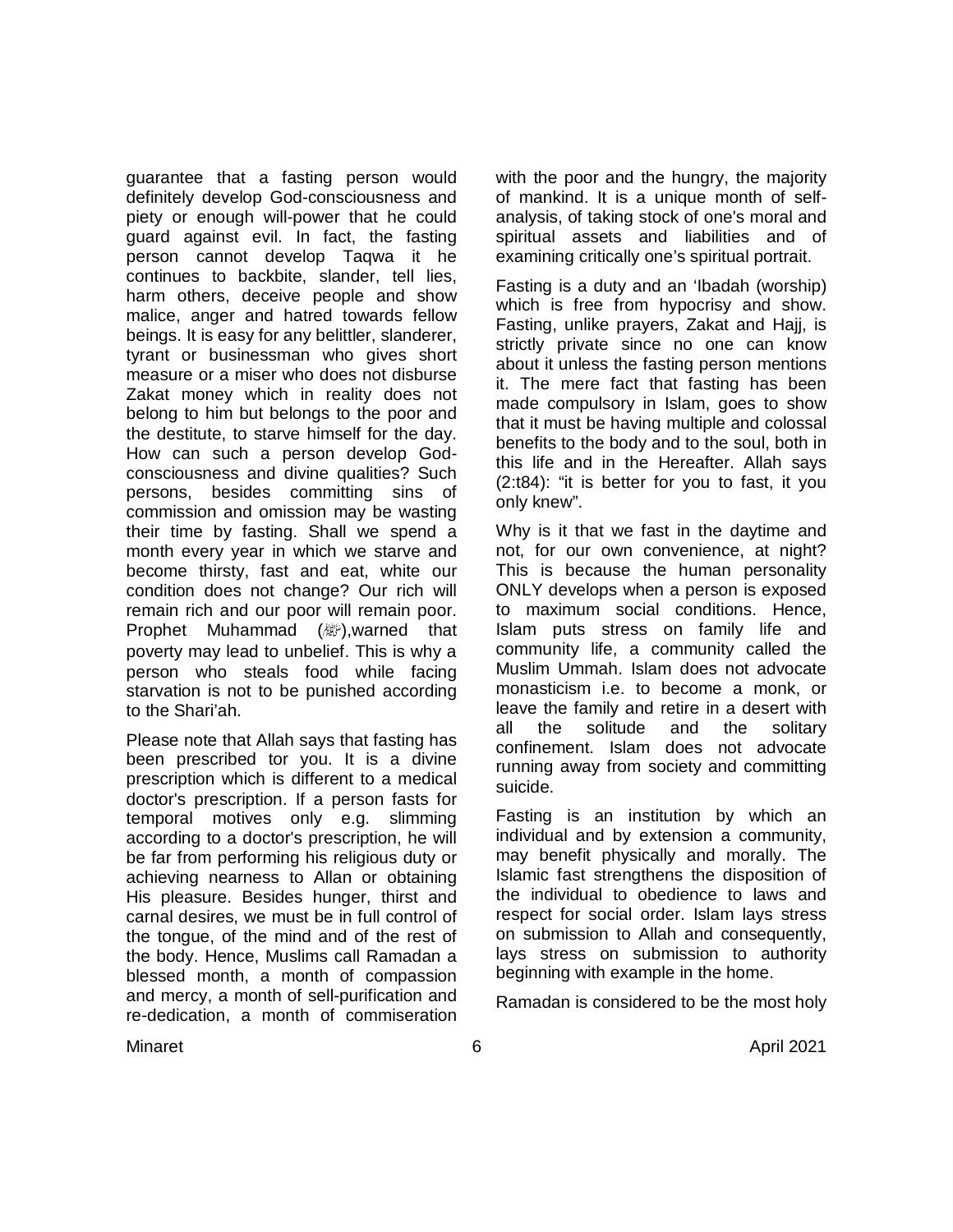guarantee that a fasting person would definitely develop God-consciousness and piety or enough will-power that he could guard against evil. In fact, the fasting person cannot develop Taqwa it he continues to backbite, slander, tell lies, harm others, deceive people and show malice, anger and hatred towards fellow beings. It is easy for any belittler, slanderer, tyrant or businessman who gives short measure or a miser who does not disburse Zakat money which in reality does not belong to him but belongs to the poor and the destitute, to starve himself for the day. How can such a person develop Godconsciousness and divine qualities? Such persons, besides committing sins of commission and omission may be wasting their time by fasting. Shall we spend a month every year in which we starve and become thirsty, fast and eat, white our condition does not change? Our rich will remain rich and our poor will remain poor. Prophet Muhammad (, warned that poverty may lead to unbelief. This is why a person who steals food while facing starvation is not to be punished according to the Shari'ah.

Please note that Allah says that fasting has been prescribed tor you. It is a divine prescription which is different to a medical doctor's prescription. If a person fasts for temporal motives only e.g. slimming according to a doctor's prescription, he will be far from performing his religious duty or achieving nearness to Allan or obtaining His pleasure. Besides hunger, thirst and carnal desires, we must be in full control of the tongue, of the mind and of the rest of the body. Hence, Muslims call Ramadan a blessed month, a month of compassion and mercy, a month of sell-purification and re-dedication, a month of commiseration with the poor and the hungry, the majority of mankind. It is a unique month of selfanalysis, of taking stock of one's moral and spiritual assets and liabilities and of examining critically one's spiritual portrait.

Fasting is a duty and an 'Ibadah (worship) which is free from hypocrisy and show. Fasting, unlike prayers, Zakat and Hajj, is strictly private since no one can know about it unless the fasting person mentions it. The mere fact that fasting has been made compulsory in Islam, goes to show that it must be having multiple and colossal benefits to the body and to the soul, both in this life and in the Hereafter. Allah says (2:t84): "it is better for you to fast, it you only knew".

Why is it that we fast in the daytime and not, for our own convenience, at night? This is because the human personality ONLY develops when a person is exposed to maximum social conditions. Hence, Islam puts stress on family life and community life, a community called the Muslim Ummah. Islam does not advocate monasticism i.e. to become a monk, or leave the family and retire in a desert with all the solitude and the solitary confinement. Islam does not advocate running away from society and committing suicide.

Fasting is an institution by which an individual and by extension a community, may benefit physically and morally. The Islamic fast strengthens the disposition of the individual to obedience to laws and respect for social order. Islam lays stress on submission to Allah and consequently, lays stress on submission to authority beginning with example in the home.

Ramadan is considered to be the most holy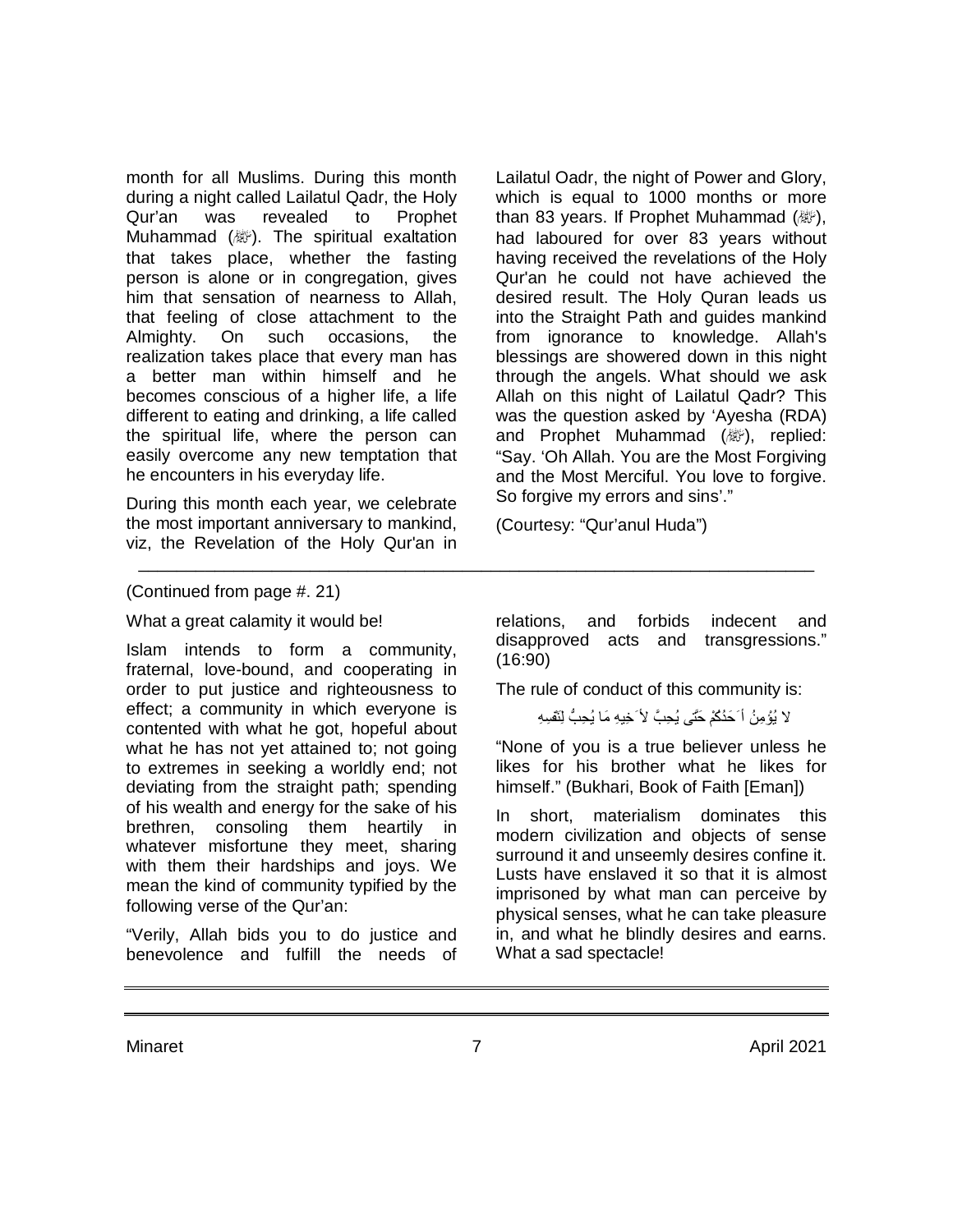month for all Muslims. During this month during a night called Lailatul Qadr, the Holy Qur'an was revealed to Prophet Muhammad (, ). The spiritual exaltation that takes place, whether the fasting person is alone or in congregation, gives him that sensation of nearness to Allah, that feeling of close attachment to the Almighty. On such occasions, the realization takes place that every man has a better man within himself and he becomes conscious of a higher life, a life different to eating and drinking, a life called the spiritual life, where the person can easily overcome any new temptation that he encounters in his everyday life.

During this month each year, we celebrate the most important anniversary to mankind, viz, the Revelation of the Holy Qur'an in Lailatul Oadr, the night of Power and Glory, which is equal to 1000 months or more than 83 years. If Prophet Muhammad (&), had laboured for over 83 years without having received the revelations of the Holy Qur'an he could not have achieved the desired result. The Holy Quran leads us into the Straight Path and guides mankind from ignorance to knowledge. Allah's blessings are showered down in this night through the angels. What should we ask Allah on this night of Lailatul Qadr? This was the question asked by 'Ayesha (RDA) and Prophet Muhammad ( ), replied: "Say. 'Oh Allah. You are the Most Forgiving and the Most Merciful. You love to forgive. So forgive my errors and sins'."

(Courtesy: "Qur'anul Huda")

#### (Continued from page #. 21)

What a great calamity it would be!

Islam intends to form a community, fraternal, love-bound, and cooperating in order to put justice and righteousness to effect; a community in which everyone is contented with what he got, hopeful about what he has not yet attained to; not going to extremes in seeking a worldly end; not deviating from the straight path; spending of his wealth and energy for the sake of his brethren, consoling them heartily in whatever misfortune they meet, sharing with them their hardships and joys. We mean the kind of community typified by the following verse of the Qur'an:

"Verily, Allah bids you to do justice and benevolence and fulfill the needs of

relations, and forbids indecent and disapproved acts and transgressions." (16:90)

The rule of conduct of this community is:

لا یُؤْمِنُ أَ حَدُكُمْ حَتَّى یُحِبَّ لأ َخِیهِ مَا یُحِبُّ لِنَفْسِهِ

"None of you is a true believer unless he likes for his brother what he likes for himself." (Bukhari, Book of Faith [Eman])

In short, materialism dominates this modern civilization and objects of sense surround it and unseemly desires confine it. Lusts have enslaved it so that it is almost imprisoned by what man can perceive by physical senses, what he can take pleasure in, and what he blindly desires and earns. What a sad spectacle!

Minaret 7 April 2021

\_\_\_\_\_\_\_\_\_\_\_\_\_\_\_\_\_\_\_\_\_\_\_\_\_\_\_\_\_\_\_\_\_\_\_\_\_\_\_\_\_\_\_\_\_\_\_\_\_\_\_\_\_\_\_\_\_\_\_\_\_\_\_\_\_\_\_\_\_\_\_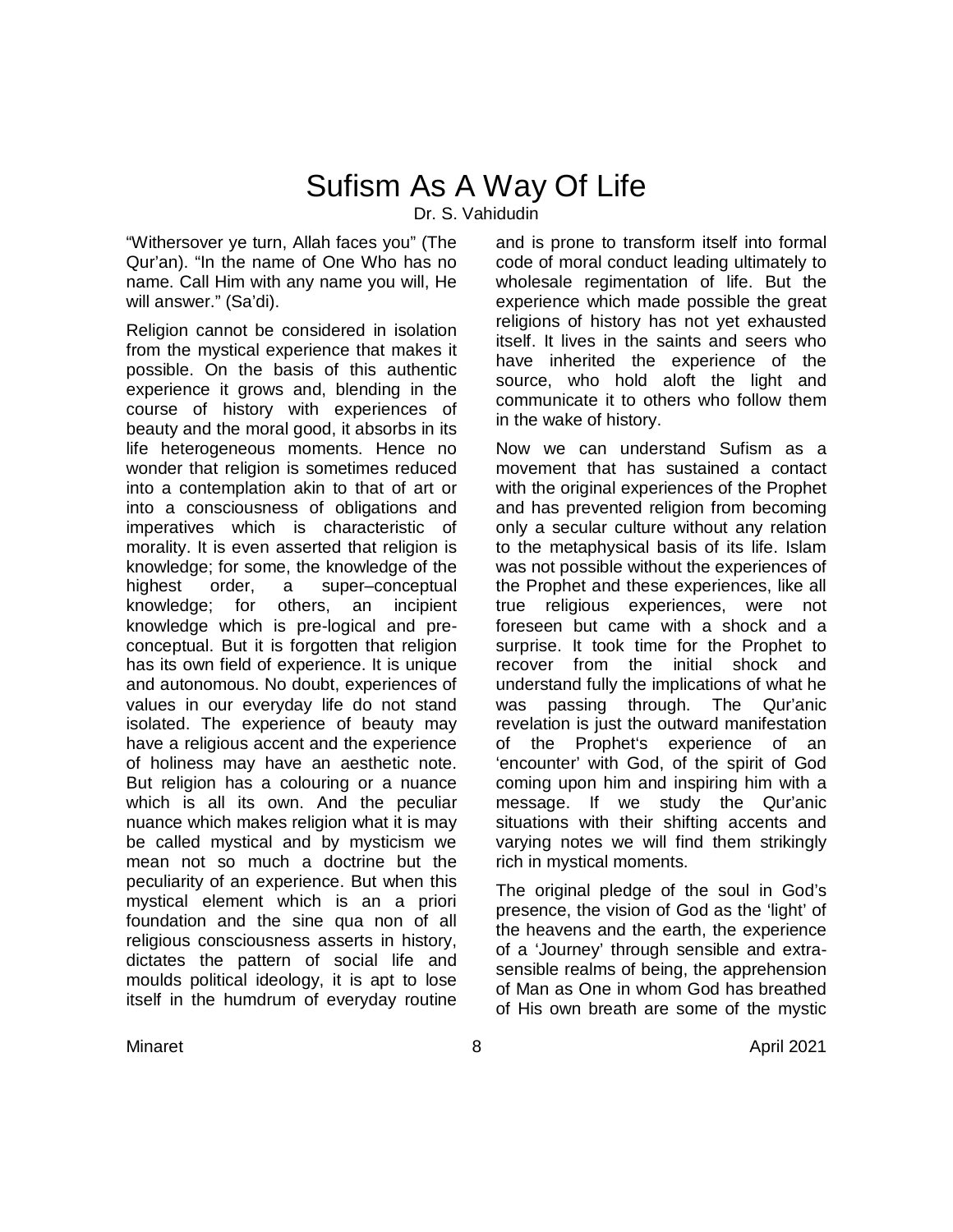# Sufism As A Way Of Life Dr. S. Vahidudin

"Withersover ye turn, Allah faces you" (The Qur'an). "In the name of One Who has no name. Call Him with any name you will, He will answer." (Sa'di).

Religion cannot be considered in isolation from the mystical experience that makes it possible. On the basis of this authentic experience it grows and, blending in the course of history with experiences of beauty and the moral good, it absorbs in its life heterogeneous moments. Hence no wonder that religion is sometimes reduced into a contemplation akin to that of art or into a consciousness of obligations and imperatives which is characteristic of morality. It is even asserted that religion is knowledge; for some, the knowledge of the highest order, a super–conceptual knowledge; for others, an incipient knowledge which is pre-logical and preconceptual. But it is forgotten that religion has its own field of experience. It is unique and autonomous. No doubt, experiences of values in our everyday life do not stand isolated. The experience of beauty may have a religious accent and the experience of holiness may have an aesthetic note. But religion has a colouring or a nuance which is all its own. And the peculiar nuance which makes religion what it is may be called mystical and by mysticism we mean not so much a doctrine but the peculiarity of an experience. But when this mystical element which is an a priori foundation and the sine qua non of all religious consciousness asserts in history, dictates the pattern of social life and moulds political ideology, it is apt to lose itself in the humdrum of everyday routine

and is prone to transform itself into formal code of moral conduct leading ultimately to wholesale regimentation of life. But the experience which made possible the great religions of history has not yet exhausted itself. It lives in the saints and seers who have inherited the experience of the source, who hold aloft the light and communicate it to others who follow them in the wake of history.

Now we can understand Sufism as a movement that has sustained a contact with the original experiences of the Prophet and has prevented religion from becoming only a secular culture without any relation to the metaphysical basis of its life. Islam was not possible without the experiences of the Prophet and these experiences, like all true religious experiences, were not foreseen but came with a shock and a surprise. It took time for the Prophet to recover from the initial shock and understand fully the implications of what he was passing through. The Qur'anic revelation is just the outward manifestation of the Prophet's experience of an 'encounter' with God, of the spirit of God coming upon him and inspiring him with a message. If we study the Qur'anic situations with their shifting accents and varying notes we will find them strikingly rich in mystical moments.

The original pledge of the soul in God's presence, the vision of God as the 'light' of the heavens and the earth, the experience of a 'Journey' through sensible and extrasensible realms of being, the apprehension of Man as One in whom God has breathed of His own breath are some of the mystic

Minaret 8 April 2021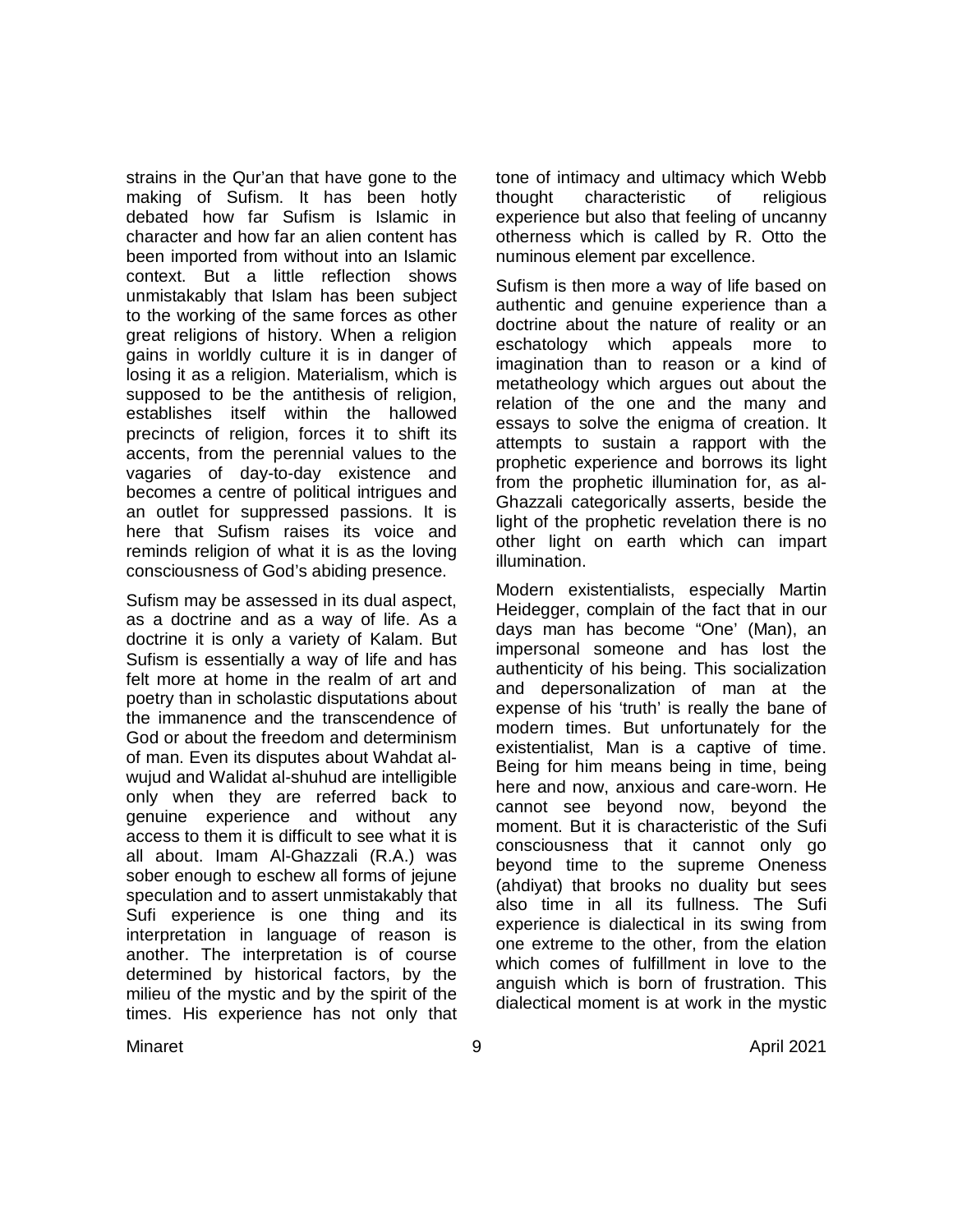strains in the Qur'an that have gone to the making of Sufism. It has been hotly debated how far Sufism is Islamic in character and how far an alien content has been imported from without into an Islamic context. But a little reflection shows unmistakably that Islam has been subject to the working of the same forces as other great religions of history. When a religion gains in worldly culture it is in danger of losing it as a religion. Materialism, which is supposed to be the antithesis of religion, establishes itself within the hallowed precincts of religion, forces it to shift its accents, from the perennial values to the vagaries of day-to-day existence and becomes a centre of political intrigues and an outlet for suppressed passions. It is here that Sufism raises its voice and reminds religion of what it is as the loving consciousness of God's abiding presence.

Sufism may be assessed in its dual aspect, as a doctrine and as a way of life. As a doctrine it is only a variety of Kalam. But Sufism is essentially a way of life and has felt more at home in the realm of art and poetry than in scholastic disputations about the immanence and the transcendence of God or about the freedom and determinism of man. Even its disputes about Wahdat alwujud and Walidat al-shuhud are intelligible only when they are referred back to genuine experience and without any access to them it is difficult to see what it is all about. Imam Al-Ghazzali (R.A.) was sober enough to eschew all forms of jejune speculation and to assert unmistakably that Sufi experience is one thing and its interpretation in language of reason is another. The interpretation is of course determined by historical factors, by the milieu of the mystic and by the spirit of the times. His experience has not only that tone of intimacy and ultimacy which Webb thought characteristic of religious experience but also that feeling of uncanny otherness which is called by R. Otto the numinous element par excellence.

Sufism is then more a way of life based on authentic and genuine experience than a doctrine about the nature of reality or an eschatology which appeals more to imagination than to reason or a kind of metatheology which argues out about the relation of the one and the many and essays to solve the enigma of creation. It attempts to sustain a rapport with the prophetic experience and borrows its light from the prophetic illumination for, as al-Ghazzali categorically asserts, beside the light of the prophetic revelation there is no other light on earth which can impart illumination.

Modern existentialists, especially Martin Heidegger, complain of the fact that in our days man has become "One' (Man), an impersonal someone and has lost the authenticity of his being. This socialization and depersonalization of man at the expense of his 'truth' is really the bane of modern times. But unfortunately for the existentialist, Man is a captive of time. Being for him means being in time, being here and now, anxious and care-worn. He cannot see beyond now, beyond the moment. But it is characteristic of the Sufi consciousness that it cannot only go beyond time to the supreme Oneness (ahdiyat) that brooks no duality but sees also time in all its fullness. The Sufi experience is dialectical in its swing from one extreme to the other, from the elation which comes of fulfillment in love to the anguish which is born of frustration. This dialectical moment is at work in the mystic

Minaret 9 April 2021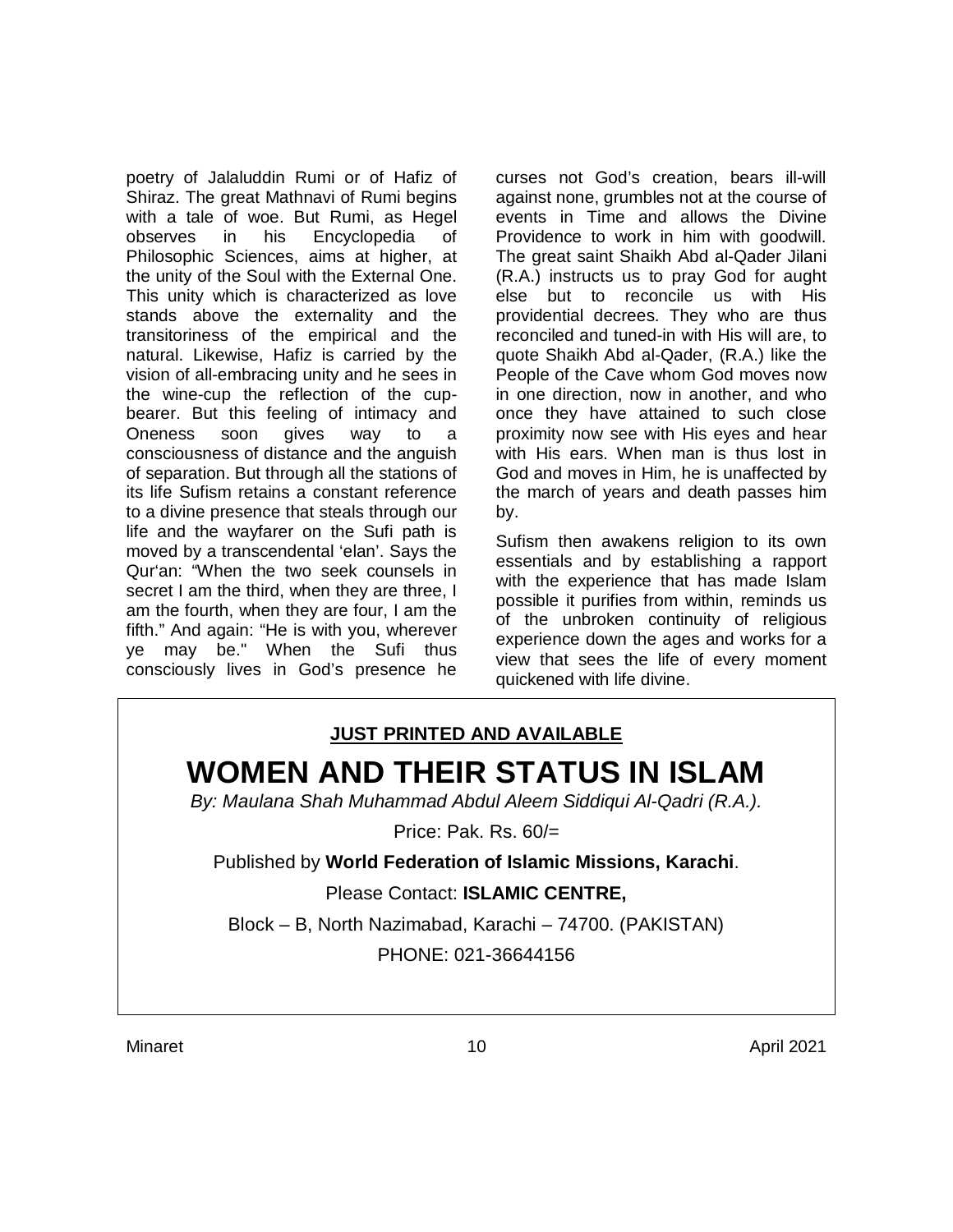poetry of Jalaluddin Rumi or of Hafiz of Shiraz. The great Mathnavi of Rumi begins with a tale of woe. But Rumi, as Hegel observes in his Encyclopedia of Philosophic Sciences, aims at higher, at the unity of the Soul with the External One. This unity which is characterized as love stands above the externality and the transitoriness of the empirical and the natural. Likewise, Hafiz is carried by the vision of all-embracing unity and he sees in the wine-cup the reflection of the cupbearer. But this feeling of intimacy and Oneness soon gives way to a consciousness of distance and the anguish of separation. But through all the stations of its life Sufism retains a constant reference to a divine presence that steals through our life and the wayfarer on the Sufi path is moved by a transcendental 'elan'. Says the Qur'an: "When the two seek counsels in secret I am the third, when they are three, I am the fourth, when they are four, I am the fifth." And again: "He is with you, wherever ye may be." When the Sufi thus consciously lives in God's presence he

curses not God's creation, bears ill-will against none, grumbles not at the course of events in Time and allows the Divine Providence to work in him with goodwill. The great saint Shaikh Abd al-Qader Jilani (R.A.) instructs us to pray God for aught else but to reconcile us with His providential decrees. They who are thus reconciled and tuned-in with His will are, to quote Shaikh Abd al-Qader, (R.A.) like the People of the Cave whom God moves now in one direction, now in another, and who once they have attained to such close proximity now see with His eyes and hear with His ears. When man is thus lost in God and moves in Him, he is unaffected by the march of years and death passes him by.

Sufism then awakens religion to its own essentials and by establishing a rapport with the experience that has made Islam possible it purifies from within, reminds us of the unbroken continuity of religious experience down the ages and works for a view that sees the life of every moment quickened with life divine.

# **JUST PRINTED AND AVAILABLE WOMEN AND THEIR STATUS IN ISLAM**

*By: Maulana Shah Muhammad Abdul Aleem Siddiqui Al-Qadri (R.A.).*

Price: Pak. Rs. 60/=

Published by **World Federation of Islamic Missions, Karachi**.

Please Contact: **ISLAMIC CENTRE,**

Block – B, North Nazimabad, Karachi – 74700. (PAKISTAN) PHONE: 021-36644156

Minaret 10 April 2021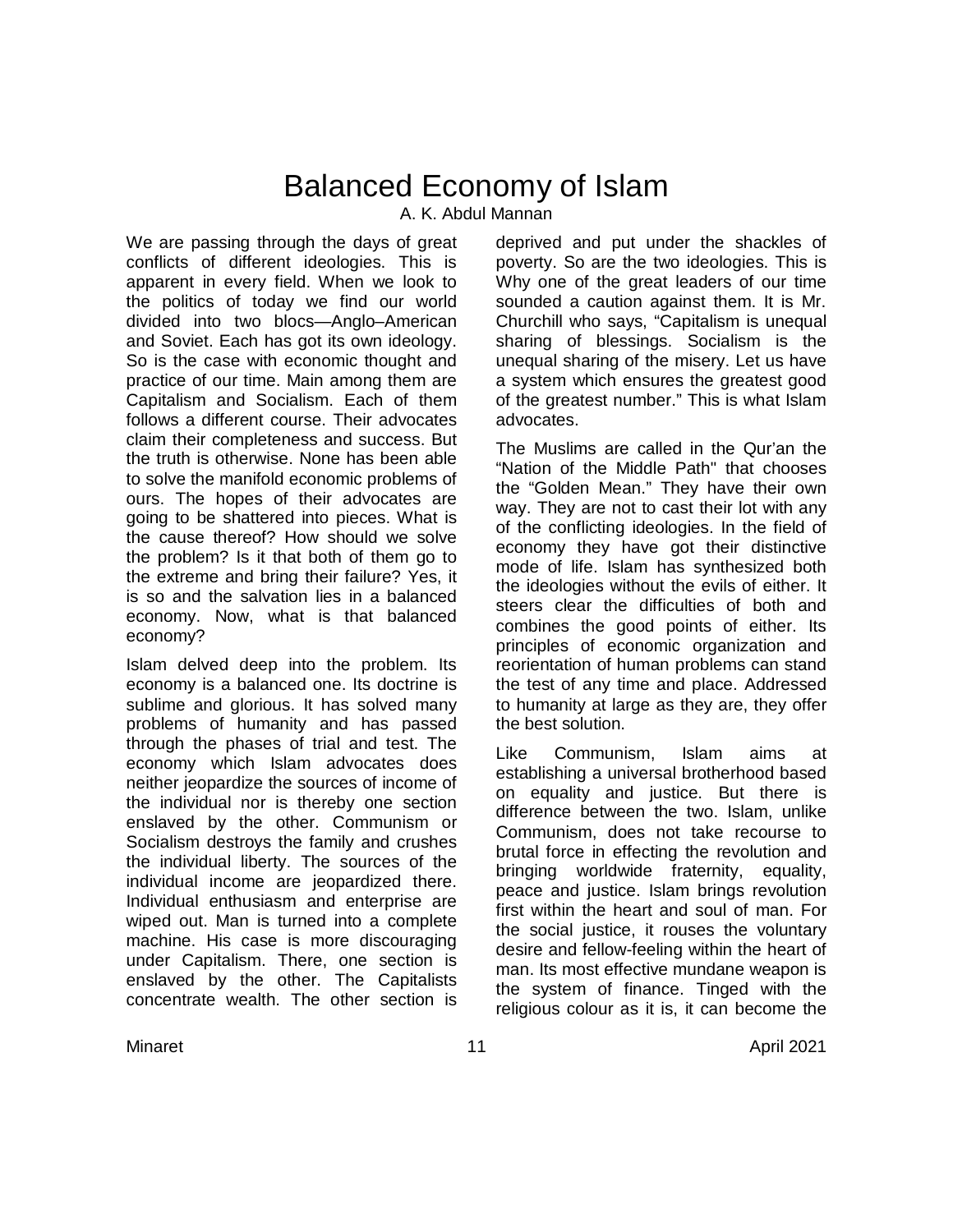# Balanced Economy of Islam A. K. Abdul Mannan

We are passing through the days of great conflicts of different ideologies. This is apparent in every field. When we look to the politics of today we find our world divided into two blocs—Anglo–American and Soviet. Each has got its own ideology. So is the case with economic thought and practice of our time. Main among them are Capitalism and Socialism. Each of them follows a different course. Their advocates claim their completeness and success. But the truth is otherwise. None has been able to solve the manifold economic problems of ours. The hopes of their advocates are going to be shattered into pieces. What is the cause thereof? How should we solve the problem? Is it that both of them go to the extreme and bring their failure? Yes, it is so and the salvation lies in a balanced economy. Now, what is that balanced economy?

Islam delved deep into the problem. Its economy is a balanced one. Its doctrine is sublime and glorious. It has solved many problems of humanity and has passed through the phases of trial and test. The economy which Islam advocates does neither jeopardize the sources of income of the individual nor is thereby one section enslaved by the other. Communism or Socialism destroys the family and crushes the individual liberty. The sources of the individual income are jeopardized there. Individual enthusiasm and enterprise are wiped out. Man is turned into a complete machine. His case is more discouraging under Capitalism. There, one section is enslaved by the other. The Capitalists concentrate wealth. The other section is

deprived and put under the shackles of poverty. So are the two ideologies. This is Why one of the great leaders of our time sounded a caution against them. It is Mr. Churchill who says, "Capitalism is unequal sharing of blessings. Socialism is the unequal sharing of the misery. Let us have a system which ensures the greatest good of the greatest number." This is what Islam advocates.

The Muslims are called in the Qur'an the "Nation of the Middle Path" that chooses the "Golden Mean." They have their own way. They are not to cast their lot with any of the conflicting ideologies. In the field of economy they have got their distinctive mode of life. Islam has synthesized both the ideologies without the evils of either. It steers clear the difficulties of both and combines the good points of either. Its principles of economic organization and reorientation of human problems can stand the test of any time and place. Addressed to humanity at large as they are, they offer the best solution.

Like Communism, Islam aims at establishing a universal brotherhood based on equality and justice. But there is difference between the two. Islam, unlike Communism, does not take recourse to brutal force in effecting the revolution and bringing worldwide fraternity, equality, peace and justice. Islam brings revolution first within the heart and soul of man. For the social justice, it rouses the voluntary desire and fellow-feeling within the heart of man. Its most effective mundane weapon is the system of finance. Tinged with the religious colour as it is, it can become the

Minaret 11 April 2021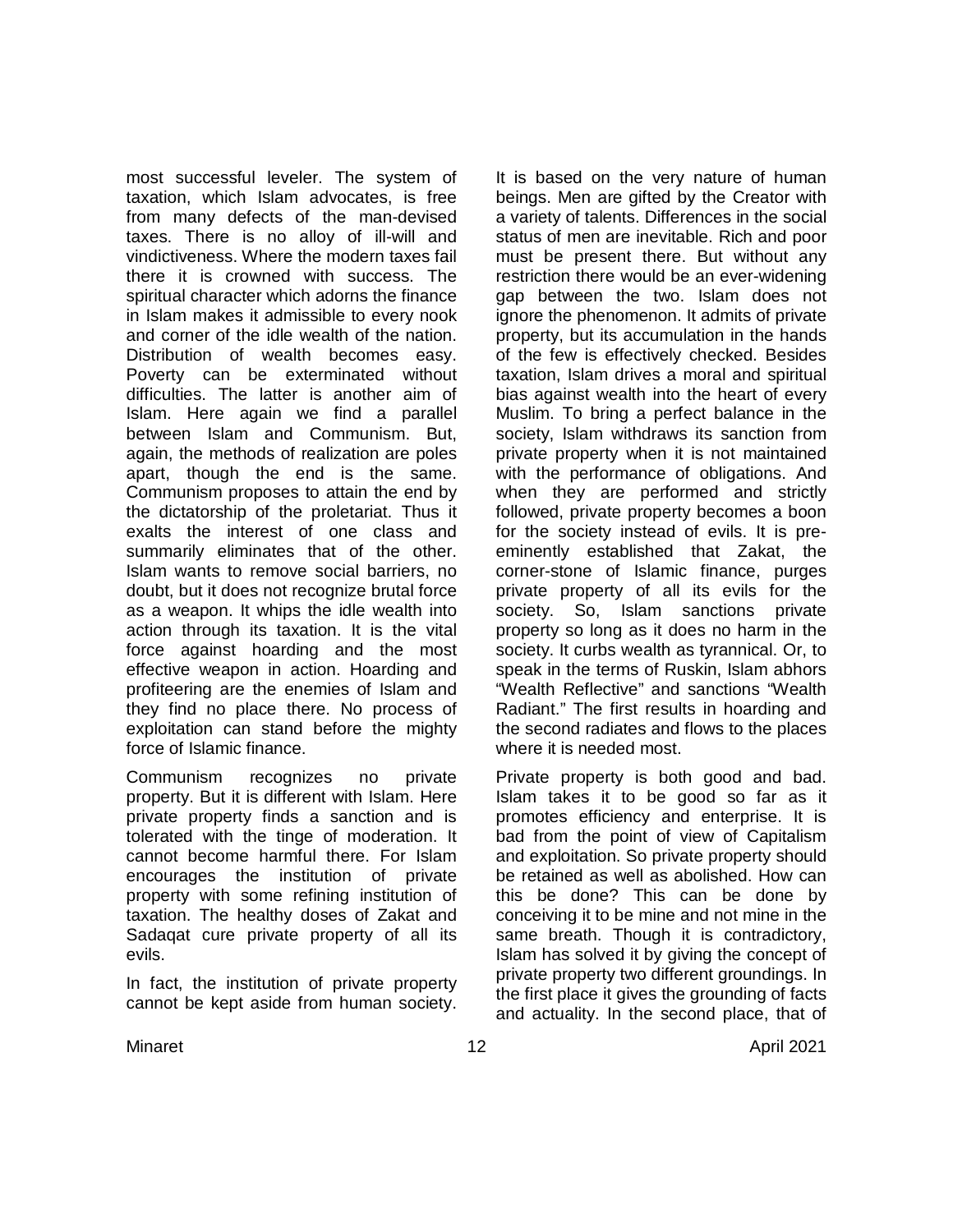most successful leveler. The system of taxation, which Islam advocates, is free from many defects of the man-devised taxes. There is no alloy of ill-will and vindictiveness. Where the modern taxes fail there it is crowned with success. The spiritual character which adorns the finance in Islam makes it admissible to every nook and corner of the idle wealth of the nation. Distribution of wealth becomes easy. Poverty can be exterminated without difficulties. The latter is another aim of Islam. Here again we find a parallel between Islam and Communism. But, again, the methods of realization are poles apart, though the end is the same. Communism proposes to attain the end by the dictatorship of the proletariat. Thus it exalts the interest of one class and summarily eliminates that of the other. Islam wants to remove social barriers, no doubt, but it does not recognize brutal force as a weapon. It whips the idle wealth into action through its taxation. It is the vital force against hoarding and the most effective weapon in action. Hoarding and profiteering are the enemies of Islam and they find no place there. No process of exploitation can stand before the mighty force of Islamic finance.

Communism recognizes no private property. But it is different with Islam. Here private property finds a sanction and is tolerated with the tinge of moderation. It cannot become harmful there. For Islam encourages the institution of private property with some refining institution of taxation. The healthy doses of Zakat and Sadaqat cure private property of all its evils.

In fact, the institution of private property cannot be kept aside from human society.

It is based on the very nature of human beings. Men are gifted by the Creator with a variety of talents. Differences in the social status of men are inevitable. Rich and poor must be present there. But without any restriction there would be an ever-widening gap between the two. Islam does not ignore the phenomenon. It admits of private property, but its accumulation in the hands of the few is effectively checked. Besides taxation, Islam drives a moral and spiritual bias against wealth into the heart of every Muslim. To bring a perfect balance in the society, Islam withdraws its sanction from private property when it is not maintained with the performance of obligations. And when they are performed and strictly followed, private property becomes a boon for the society instead of evils. It is preeminently established that Zakat, the corner-stone of Islamic finance, purges private property of all its evils for the society. So, Islam sanctions private property so long as it does no harm in the society. It curbs wealth as tyrannical. Or, to speak in the terms of Ruskin, Islam abhors "Wealth Reflective" and sanctions "Wealth Radiant." The first results in hoarding and the second radiates and flows to the places where it is needed most.

Private property is both good and bad. Islam takes it to be good so far as it promotes efficiency and enterprise. It is bad from the point of view of Capitalism and exploitation. So private property should be retained as well as abolished. How can this be done? This can be done by conceiving it to be mine and not mine in the same breath. Though it is contradictory, Islam has solved it by giving the concept of private property two different groundings. In the first place it gives the grounding of facts and actuality. In the second place, that of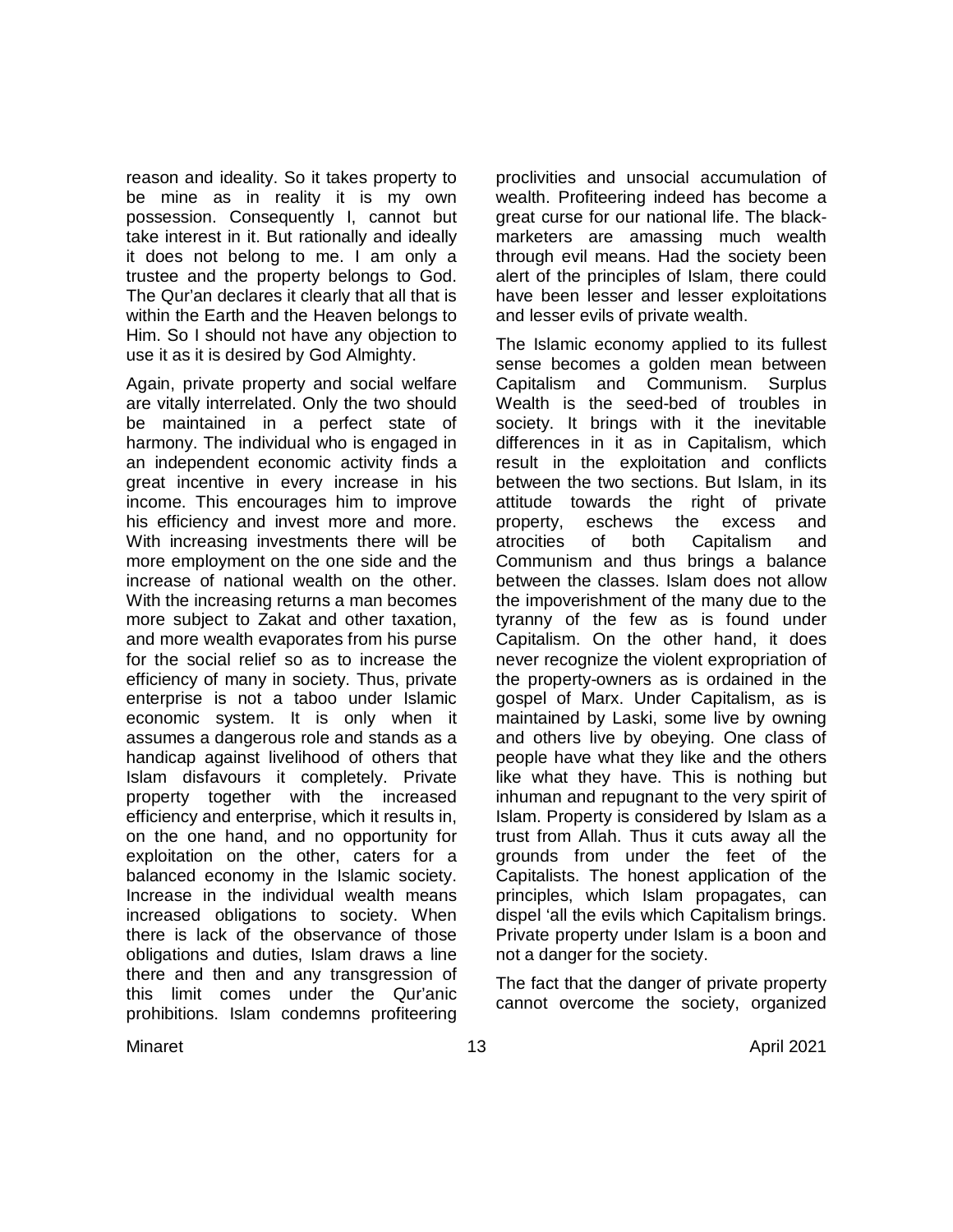reason and ideality. So it takes property to be mine as in reality it is my own possession. Consequently I, cannot but take interest in it. But rationally and ideally it does not belong to me. I am only a trustee and the property belongs to God. The Qur'an declares it clearly that all that is within the Earth and the Heaven belongs to Him. So I should not have any objection to use it as it is desired by God Almighty.

Again, private property and social welfare are vitally interrelated. Only the two should be maintained in a perfect state of harmony. The individual who is engaged in an independent economic activity finds a great incentive in every increase in his income. This encourages him to improve his efficiency and invest more and more. With increasing investments there will be more employment on the one side and the increase of national wealth on the other. With the increasing returns a man becomes more subject to Zakat and other taxation, and more wealth evaporates from his purse for the social relief so as to increase the efficiency of many in society. Thus, private enterprise is not a taboo under Islamic economic system. It is only when it assumes a dangerous role and stands as a handicap against livelihood of others that Islam disfavours it completely. Private property together with the increased efficiency and enterprise, which it results in, on the one hand, and no opportunity for exploitation on the other, caters for a balanced economy in the Islamic society. Increase in the individual wealth means increased obligations to society. When there is lack of the observance of those obligations and duties, Islam draws a line there and then and any transgression of this limit comes under the Qur'anic prohibitions. Islam condemns profiteering

proclivities and unsocial accumulation of wealth. Profiteering indeed has become a great curse for our national life. The blackmarketers are amassing much wealth through evil means. Had the society been alert of the principles of Islam, there could have been lesser and lesser exploitations and lesser evils of private wealth.

The Islamic economy applied to its fullest sense becomes a golden mean between Capitalism and Communism. Surplus Wealth is the seed-bed of troubles in society. It brings with it the inevitable differences in it as in Capitalism, which result in the exploitation and conflicts between the two sections. But Islam, in its attitude towards the right of private property, eschews the excess and atrocities of both Capitalism and Communism and thus brings a balance between the classes. Islam does not allow the impoverishment of the many due to the tyranny of the few as is found under Capitalism. On the other hand, it does never recognize the violent expropriation of the property-owners as is ordained in the gospel of Marx. Under Capitalism, as is maintained by Laski, some live by owning and others live by obeying. One class of people have what they like and the others like what they have. This is nothing but inhuman and repugnant to the very spirit of Islam. Property is considered by Islam as a trust from Allah. Thus it cuts away all the grounds from under the feet of the Capitalists. The honest application of the principles, which Islam propagates, can dispel 'all the evils which Capitalism brings. Private property under Islam is a boon and not a danger for the society.

The fact that the danger of private property cannot overcome the society, organized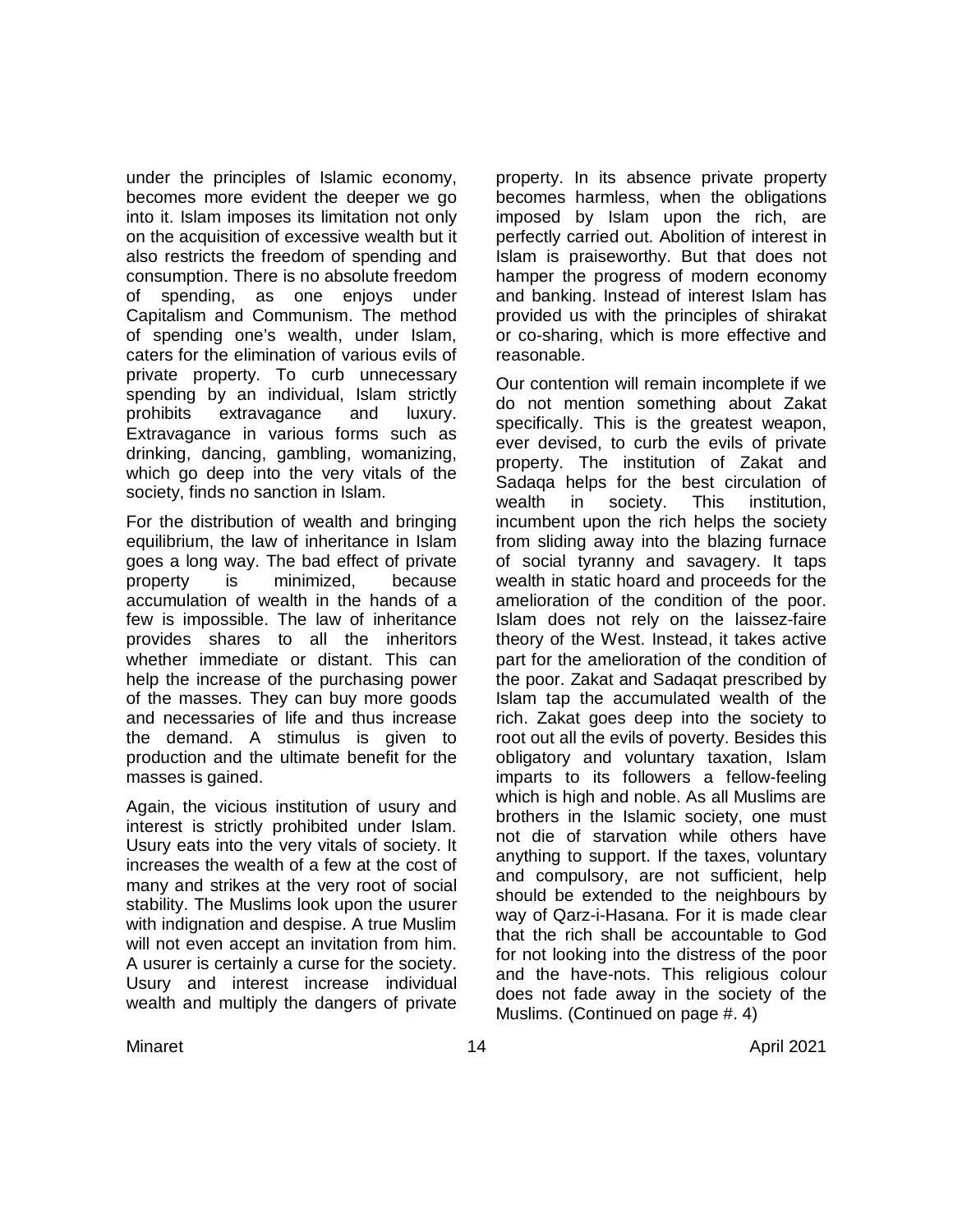under the principles of Islamic economy, becomes more evident the deeper we go into it. Islam imposes its limitation not only on the acquisition of excessive wealth but it also restricts the freedom of spending and consumption. There is no absolute freedom of spending, as one enjoys under Capitalism and Communism. The method of spending one's wealth, under Islam, caters for the elimination of various evils of private property. To curb unnecessary spending by an individual, Islam strictly prohibits extravagance and luxury. Extravagance in various forms such as drinking, dancing, gambling, womanizing, which go deep into the very vitals of the society, finds no sanction in Islam.

For the distribution of wealth and bringing equilibrium, the law of inheritance in Islam goes a long way. The bad effect of private property is minimized, because accumulation of wealth in the hands of a few is impossible. The law of inheritance provides shares to all the inheritors whether immediate or distant. This can help the increase of the purchasing power of the masses. They can buy more goods and necessaries of life and thus increase the demand. A stimulus is given to production and the ultimate benefit for the masses is gained.

Again, the vicious institution of usury and interest is strictly prohibited under Islam. Usury eats into the very vitals of society. It increases the wealth of a few at the cost of many and strikes at the very root of social stability. The Muslims look upon the usurer with indignation and despise. A true Muslim will not even accept an invitation from him. A usurer is certainly a curse for the society. Usury and interest increase individual wealth and multiply the dangers of private

property. In its absence private property becomes harmless, when the obligations imposed by Islam upon the rich, are perfectly carried out. Abolition of interest in Islam is praiseworthy. But that does not hamper the progress of modern economy and banking. Instead of interest Islam has provided us with the principles of shirakat or co-sharing, which is more effective and reasonable.

Our contention will remain incomplete if we do not mention something about Zakat specifically. This is the greatest weapon, ever devised, to curb the evils of private property. The institution of Zakat and Sadaqa helps for the best circulation of wealth in society. This institution, incumbent upon the rich helps the society from sliding away into the blazing furnace of social tyranny and savagery. It taps wealth in static hoard and proceeds for the amelioration of the condition of the poor. Islam does not rely on the laissez-faire theory of the West. Instead, it takes active part for the amelioration of the condition of the poor. Zakat and Sadaqat prescribed by Islam tap the accumulated wealth of the rich. Zakat goes deep into the society to root out all the evils of poverty. Besides this obligatory and voluntary taxation, Islam imparts to its followers a fellow-feeling which is high and noble. As all Muslims are brothers in the Islamic society, one must not die of starvation while others have anything to support. If the taxes, voluntary and compulsory, are not sufficient, help should be extended to the neighbours by way of Qarz-i-Hasana. For it is made clear that the rich shall be accountable to God for not looking into the distress of the poor and the have-nots. This religious colour does not fade away in the society of the Muslims. (Continued on page #. 4)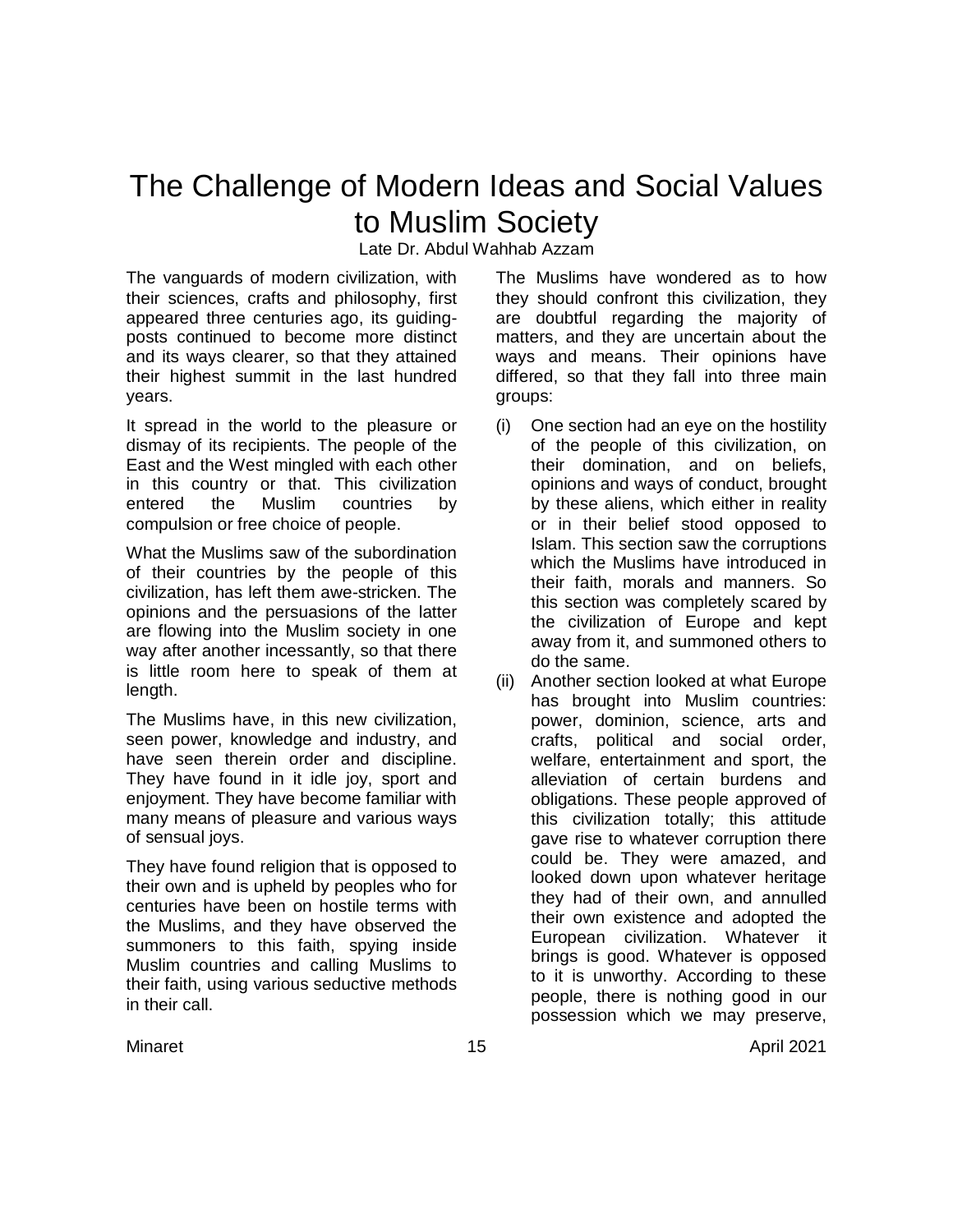# The Challenge of Modern Ideas and Social Values to Muslim Society

Late Dr. Abdul Wahhab Azzam

The vanguards of modern civilization, with their sciences, crafts and philosophy, first appeared three centuries ago, its guidingposts continued to become more distinct and its ways clearer, so that they attained their highest summit in the last hundred years.

It spread in the world to the pleasure or dismay of its recipients. The people of the East and the West mingled with each other in this country or that. This civilization entered the Muslim countries by compulsion or free choice of people.

What the Muslims saw of the subordination of their countries by the people of this civilization, has left them awe-stricken. The opinions and the persuasions of the latter are flowing into the Muslim society in one way after another incessantly, so that there is little room here to speak of them at length.

The Muslims have, in this new civilization, seen power, knowledge and industry, and have seen therein order and discipline. They have found in it idle joy, sport and enjoyment. They have become familiar with many means of pleasure and various ways of sensual joys.

They have found religion that is opposed to their own and is upheld by peoples who for centuries have been on hostile terms with the Muslims, and they have observed the summoners to this faith, spying inside Muslim countries and calling Muslims to their faith, using various seductive methods in their call.

The Muslims have wondered as to how they should confront this civilization, they are doubtful regarding the majority of matters, and they are uncertain about the ways and means. Their opinions have differed, so that they fall into three main groups:

- (i) One section had an eye on the hostility of the people of this civilization, on their domination, and on beliefs, opinions and ways of conduct, brought by these aliens, which either in reality or in their belief stood opposed to Islam. This section saw the corruptions which the Muslims have introduced in their faith, morals and manners. So this section was completely scared by the civilization of Europe and kept away from it, and summoned others to do the same.
- (ii) Another section looked at what Europe has brought into Muslim countries: power, dominion, science, arts and crafts, political and social order, welfare, entertainment and sport, the alleviation of certain burdens and obligations. These people approved of this civilization totally; this attitude gave rise to whatever corruption there could be. They were amazed, and looked down upon whatever heritage they had of their own, and annulled their own existence and adopted the European civilization. Whatever it brings is good. Whatever is opposed to it is unworthy. According to these people, there is nothing good in our possession which we may preserve,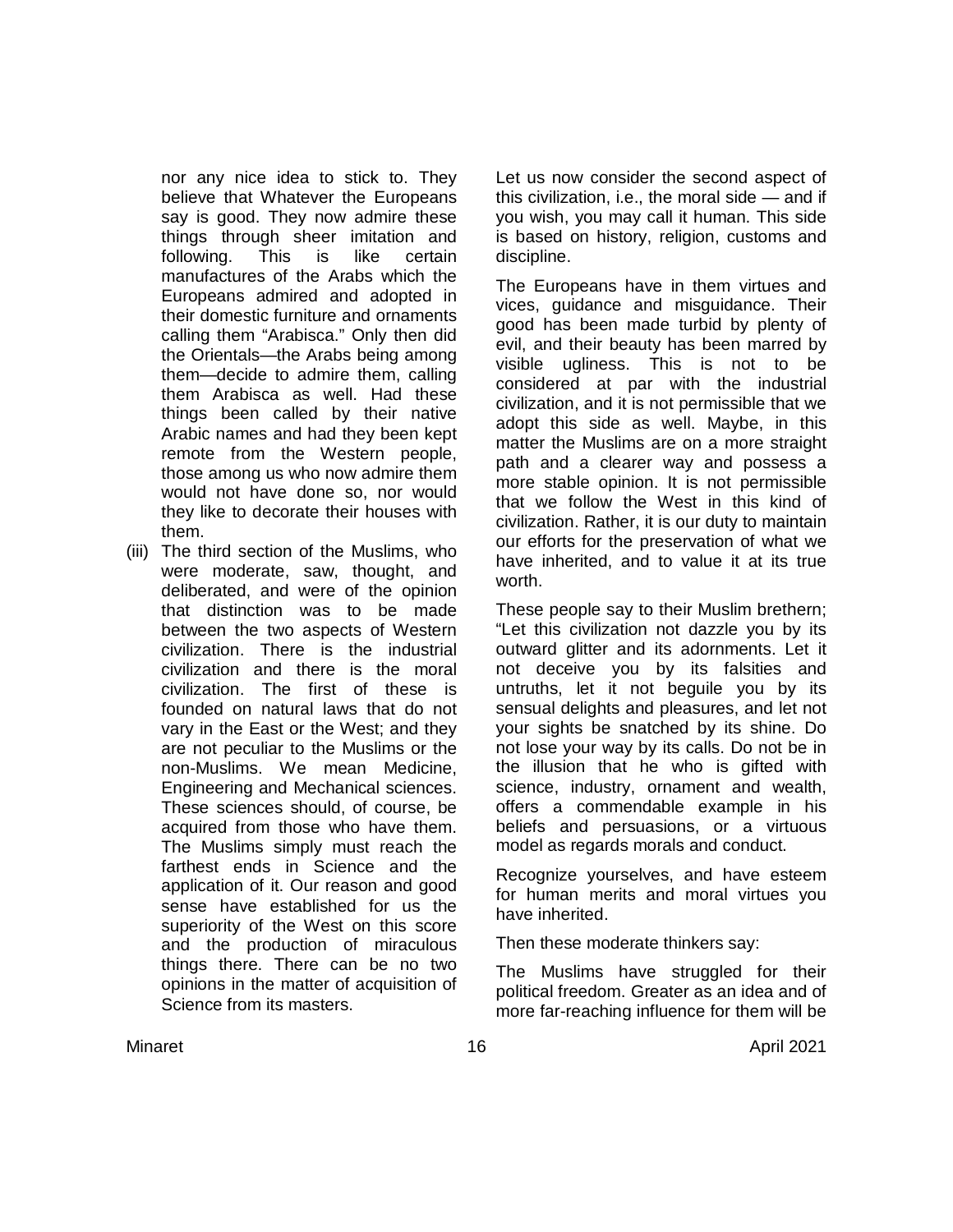nor any nice idea to stick to. They believe that Whatever the Europeans say is good. They now admire these things through sheer imitation and following. This is like certain manufactures of the Arabs which the Europeans admired and adopted in their domestic furniture and ornaments calling them "Arabisca." Only then did the Orientals—the Arabs being among them—decide to admire them, calling them Arabisca as well. Had these things been called by their native Arabic names and had they been kept remote from the Western people, those among us who now admire them would not have done so, nor would they like to decorate their houses with them.

(iii) The third section of the Muslims, who were moderate, saw, thought, and deliberated, and were of the opinion that distinction was to be made between the two aspects of Western civilization. There is the industrial civilization and there is the moral civilization. The first of these is founded on natural laws that do not vary in the East or the West; and they are not peculiar to the Muslims or the non-Muslims. We mean Medicine, Engineering and Mechanical sciences. These sciences should, of course, be acquired from those who have them. The Muslims simply must reach the farthest ends in Science and the application of it. Our reason and good sense have established for us the superiority of the West on this score and the production of miraculous things there. There can be no two opinions in the matter of acquisition of Science from its masters.

Let us now consider the second aspect of this civilization, i.e., the moral side — and if you wish, you may call it human. This side is based on history, religion, customs and discipline.

The Europeans have in them virtues and vices, guidance and misguidance. Their good has been made turbid by plenty of evil, and their beauty has been marred by visible ugliness. This is not to be considered at par with the industrial civilization, and it is not permissible that we adopt this side as well. Maybe, in this matter the Muslims are on a more straight path and a clearer way and possess a more stable opinion. It is not permissible that we follow the West in this kind of civilization. Rather, it is our duty to maintain our efforts for the preservation of what we have inherited, and to value it at its true worth.

These people say to their Muslim brethern; "Let this civilization not dazzle you by its outward glitter and its adornments. Let it not deceive you by its falsities and untruths, let it not beguile you by its sensual delights and pleasures, and let not your sights be snatched by its shine. Do not lose your way by its calls. Do not be in the illusion that he who is gifted with science, industry, ornament and wealth, offers a commendable example in his beliefs and persuasions, or a virtuous model as regards morals and conduct.

Recognize yourselves, and have esteem for human merits and moral virtues you have inherited.

Then these moderate thinkers say:

The Muslims have struggled for their political freedom. Greater as an idea and of more far-reaching influence for them will be

Minaret 16 April 2021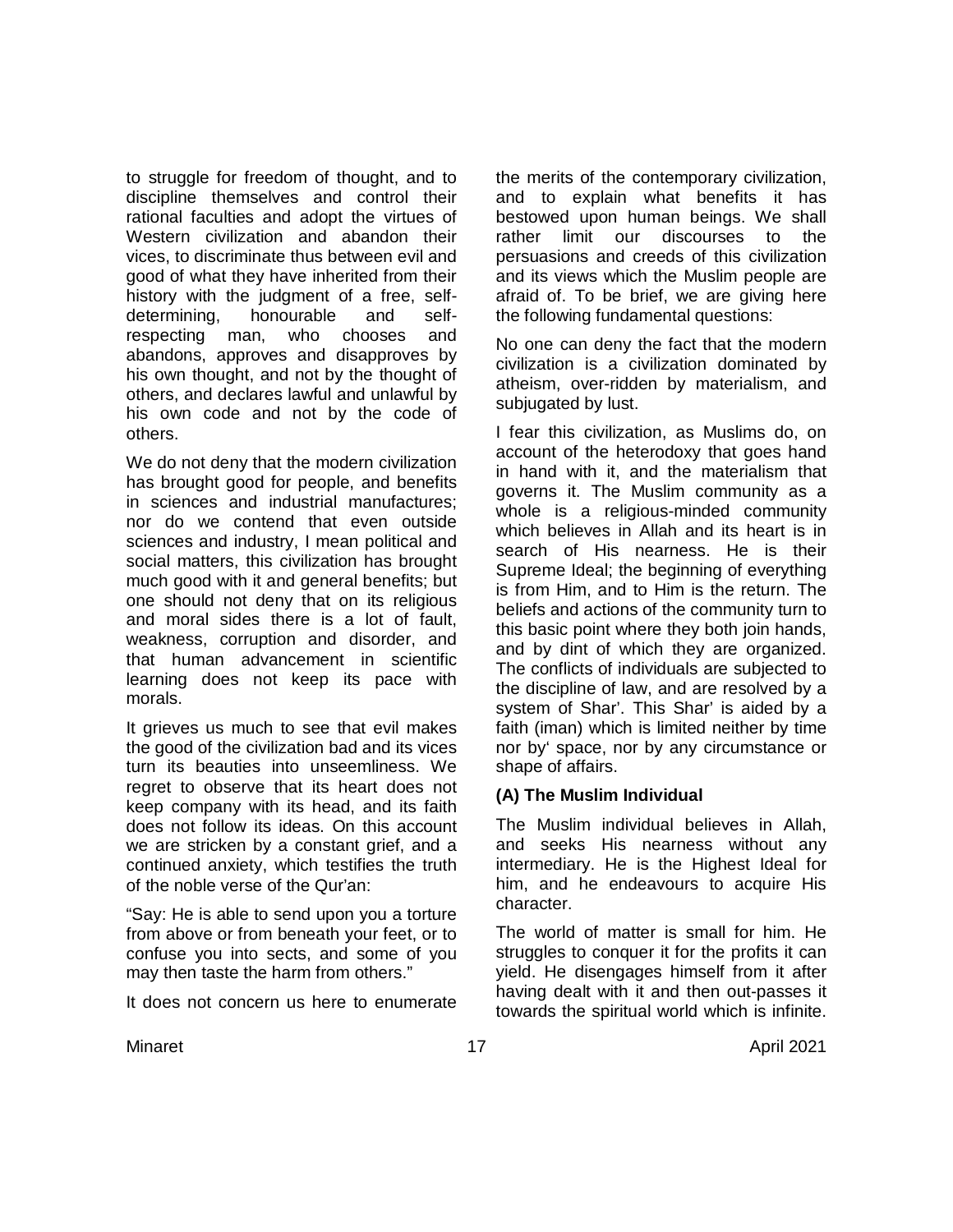to struggle for freedom of thought, and to discipline themselves and control their rational faculties and adopt the virtues of Western civilization and abandon their vices, to discriminate thus between evil and good of what they have inherited from their history with the judgment of a free, selfdetermining, honourable and self-<br>respecting man, who chooses and respecting man, who chooses and abandons, approves and disapproves by his own thought, and not by the thought of others, and declares lawful and unlawful by his own code and not by the code of others.

We do not deny that the modern civilization has brought good for people, and benefits in sciences and industrial manufactures; nor do we contend that even outside sciences and industry, I mean political and social matters, this civilization has brought much good with it and general benefits; but one should not deny that on its religious and moral sides there is a lot of fault, weakness, corruption and disorder, and that human advancement in scientific learning does not keep its pace with morals.

It grieves us much to see that evil makes the good of the civilization bad and its vices turn its beauties into unseemliness. We regret to observe that its heart does not keep company with its head, and its faith does not follow its ideas. On this account we are stricken by a constant grief, and a continued anxiety, which testifies the truth of the noble verse of the Qur'an:

"Say: He is able to send upon you a torture from above or from beneath your feet, or to confuse you into sects, and some of you may then taste the harm from others."

It does not concern us here to enumerate

the merits of the contemporary civilization, and to explain what benefits it has bestowed upon human beings. We shall rather limit our discourses to the persuasions and creeds of this civilization and its views which the Muslim people are afraid of. To be brief, we are giving here the following fundamental questions:

No one can deny the fact that the modern civilization is a civilization dominated by atheism, over-ridden by materialism, and subjugated by lust.

I fear this civilization, as Muslims do, on account of the heterodoxy that goes hand in hand with it, and the materialism that governs it. The Muslim community as a whole is a religious-minded community which believes in Allah and its heart is in search of His nearness. He is their Supreme Ideal; the beginning of everything is from Him, and to Him is the return. The beliefs and actions of the community turn to this basic point where they both join hands, and by dint of which they are organized. The conflicts of individuals are subjected to the discipline of law, and are resolved by a system of Shar'. This Shar' is aided by a faith (iman) which is limited neither by time nor by' space, nor by any circumstance or shape of affairs.

## **(A) The Muslim Individual**

The Muslim individual believes in Allah, and seeks His nearness without any intermediary. He is the Highest Ideal for him, and he endeavours to acquire His character.

The world of matter is small for him. He struggles to conquer it for the profits it can yield. He disengages himself from it after having dealt with it and then out-passes it towards the spiritual world which is infinite.

Minaret 17 April 2021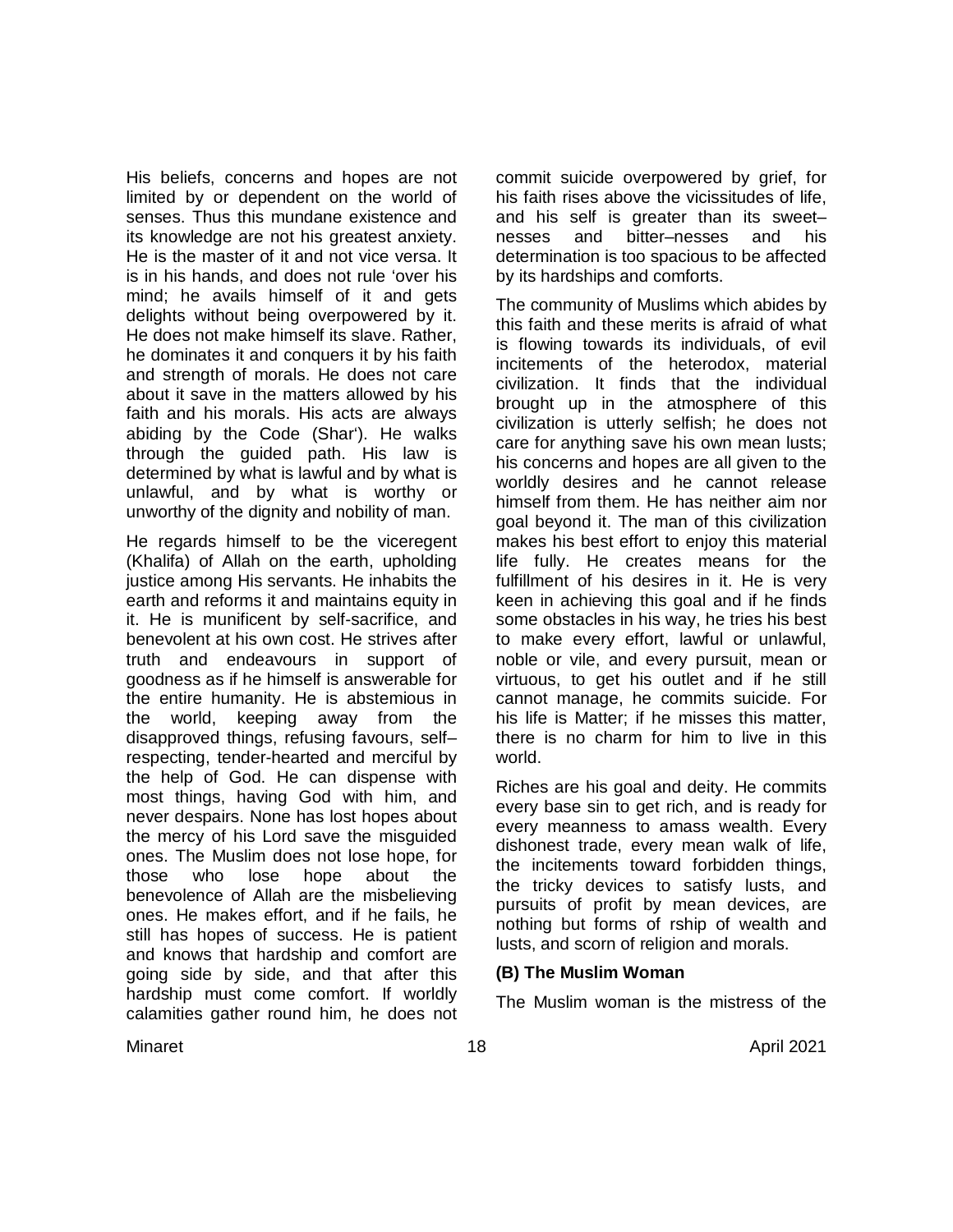His beliefs, concerns and hopes are not limited by or dependent on the world of senses. Thus this mundane existence and its knowledge are not his greatest anxiety. He is the master of it and not vice versa. It is in his hands, and does not rule 'over his mind; he avails himself of it and gets delights without being overpowered by it. He does not make himself its slave. Rather, he dominates it and conquers it by his faith and strength of morals. He does not care about it save in the matters allowed by his faith and his morals. His acts are always abiding by the Code (Shar'). He walks through the guided path. His law is determined by what is lawful and by what is unlawful, and by what is worthy or unworthy of the dignity and nobility of man.

He regards himself to be the viceregent (Khalifa) of Allah on the earth, upholding justice among His servants. He inhabits the earth and reforms it and maintains equity in it. He is munificent by self-sacrifice, and benevolent at his own cost. He strives after truth and endeavours in support of goodness as if he himself is answerable for the entire humanity. He is abstemious in the world, keeping away from the disapproved things, refusing favours, self– respecting, tender-hearted and merciful by the help of God. He can dispense with most things, having God with him, and never despairs. None has lost hopes about the mercy of his Lord save the misguided ones. The Muslim does not lose hope, for those who lose hope about the benevolence of Allah are the misbelieving ones. He makes effort, and if he fails, he still has hopes of success. He is patient and knows that hardship and comfort are going side by side, and that after this hardship must come comfort. If worldly calamities gather round him, he does not commit suicide overpowered by grief, for his faith rises above the vicissitudes of life, and his self is greater than its sweet– nesses and bitter–nesses and his determination is too spacious to be affected by its hardships and comforts.

The community of Muslims which abides by this faith and these merits is afraid of what is flowing towards its individuals, of evil incitements of the heterodox, material civilization. It finds that the individual brought up in the atmosphere of this civilization is utterly selfish; he does not care for anything save his own mean lusts; his concerns and hopes are all given to the worldly desires and he cannot release himself from them. He has neither aim nor goal beyond it. The man of this civilization makes his best effort to enjoy this material life fully. He creates means for the fulfillment of his desires in it. He is very keen in achieving this goal and if he finds some obstacles in his way, he tries his best to make every effort, lawful or unlawful, noble or vile, and every pursuit, mean or virtuous, to get his outlet and if he still cannot manage, he commits suicide. For his life is Matter; if he misses this matter, there is no charm for him to live in this world.

Riches are his goal and deity. He commits every base sin to get rich, and is ready for every meanness to amass wealth. Every dishonest trade, every mean walk of life, the incitements toward forbidden things, the tricky devices to satisfy lusts, and pursuits of profit by mean devices, are nothing but forms of rship of wealth and lusts, and scorn of religion and morals.

#### **(B) The Muslim Woman**

The Muslim woman is the mistress of the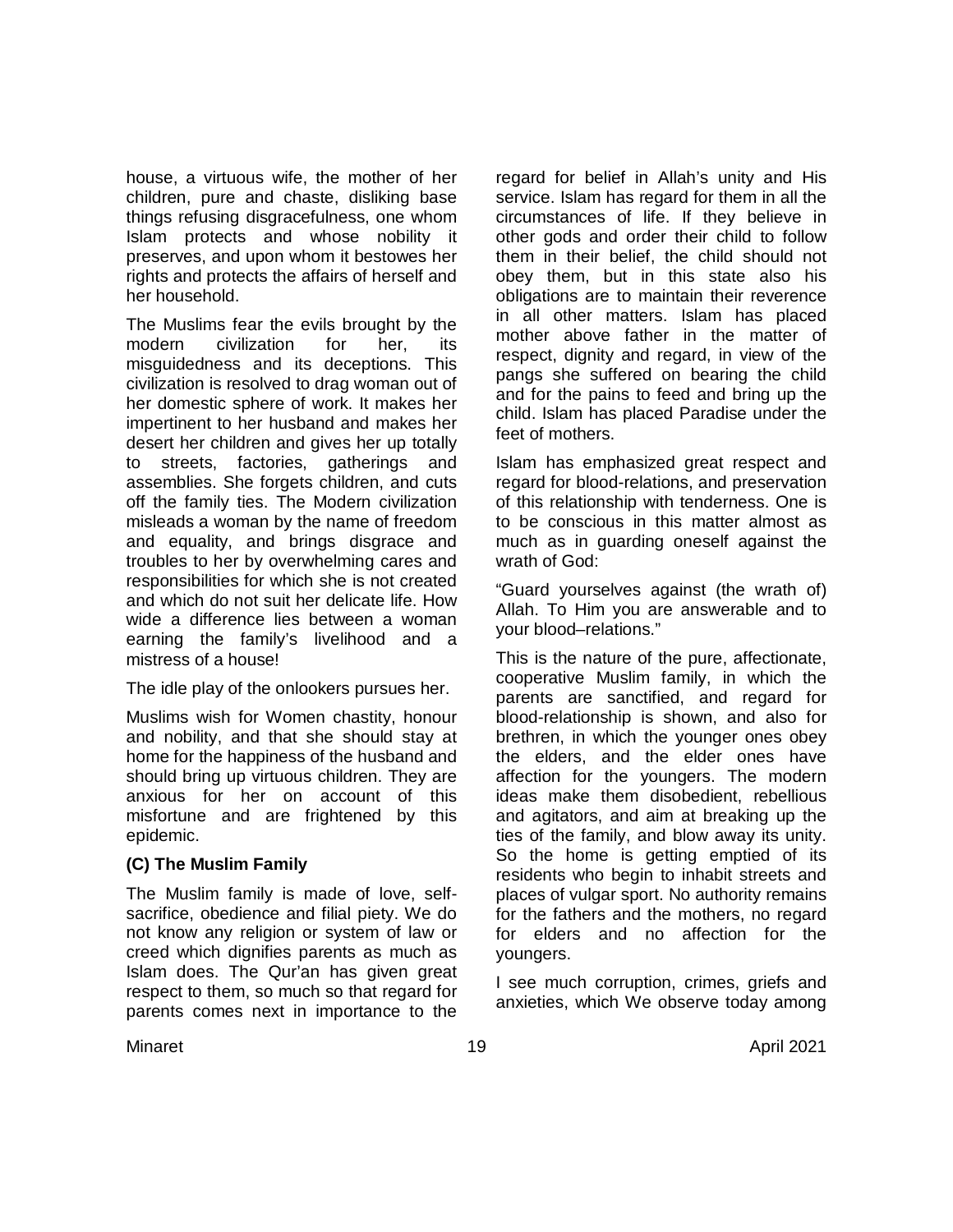house, a virtuous wife, the mother of her children, pure and chaste, disliking base things refusing disgracefulness, one whom Islam protects and whose nobility it preserves, and upon whom it bestowes her rights and protects the affairs of herself and her household.

The Muslims fear the evils brought by the modern civilization for her, its misguidedness and its deceptions. This civilization is resolved to drag woman out of her domestic sphere of work. It makes her impertinent to her husband and makes her desert her children and gives her up totally to streets, factories, gatherings and assemblies. She forgets children, and cuts off the family ties. The Modern civilization misleads a woman by the name of freedom and equality, and brings disgrace and troubles to her by overwhelming cares and responsibilities for which she is not created and which do not suit her delicate life. How wide a difference lies between a woman earning the family's livelihood and a mistress of a house!

The idle play of the onlookers pursues her.

Muslims wish for Women chastity, honour and nobility, and that she should stay at home for the happiness of the husband and should bring up virtuous children. They are anxious for her on account of this misfortune and are frightened by this epidemic.

## **(C) The Muslim Family**

The Muslim family is made of love, selfsacrifice, obedience and filial piety. We do not know any religion or system of law or creed which dignifies parents as much as Islam does. The Qur'an has given great respect to them, so much so that regard for parents comes next in importance to the

regard for belief in Allah's unity and His service. Islam has regard for them in all the circumstances of life. If they believe in other gods and order their child to follow them in their belief, the child should not obey them, but in this state also his obligations are to maintain their reverence in all other matters. Islam has placed mother above father in the matter of respect, dignity and regard, in view of the pangs she suffered on bearing the child and for the pains to feed and bring up the child. Islam has placed Paradise under the feet of mothers.

Islam has emphasized great respect and regard for blood-relations, and preservation of this relationship with tenderness. One is to be conscious in this matter almost as much as in guarding oneself against the wrath of God:

"Guard yourselves against (the wrath of) Allah. To Him you are answerable and to your blood–relations."

This is the nature of the pure, affectionate, cooperative Muslim family, in which the parents are sanctified, and regard for blood-relationship is shown, and also for brethren, in which the younger ones obey the elders, and the elder ones have affection for the youngers. The modern ideas make them disobedient, rebellious and agitators, and aim at breaking up the ties of the family, and blow away its unity. So the home is getting emptied of its residents who begin to inhabit streets and places of vulgar sport. No authority remains for the fathers and the mothers, no regard for elders and no affection for the youngers.

I see much corruption, crimes, griefs and anxieties, which We observe today among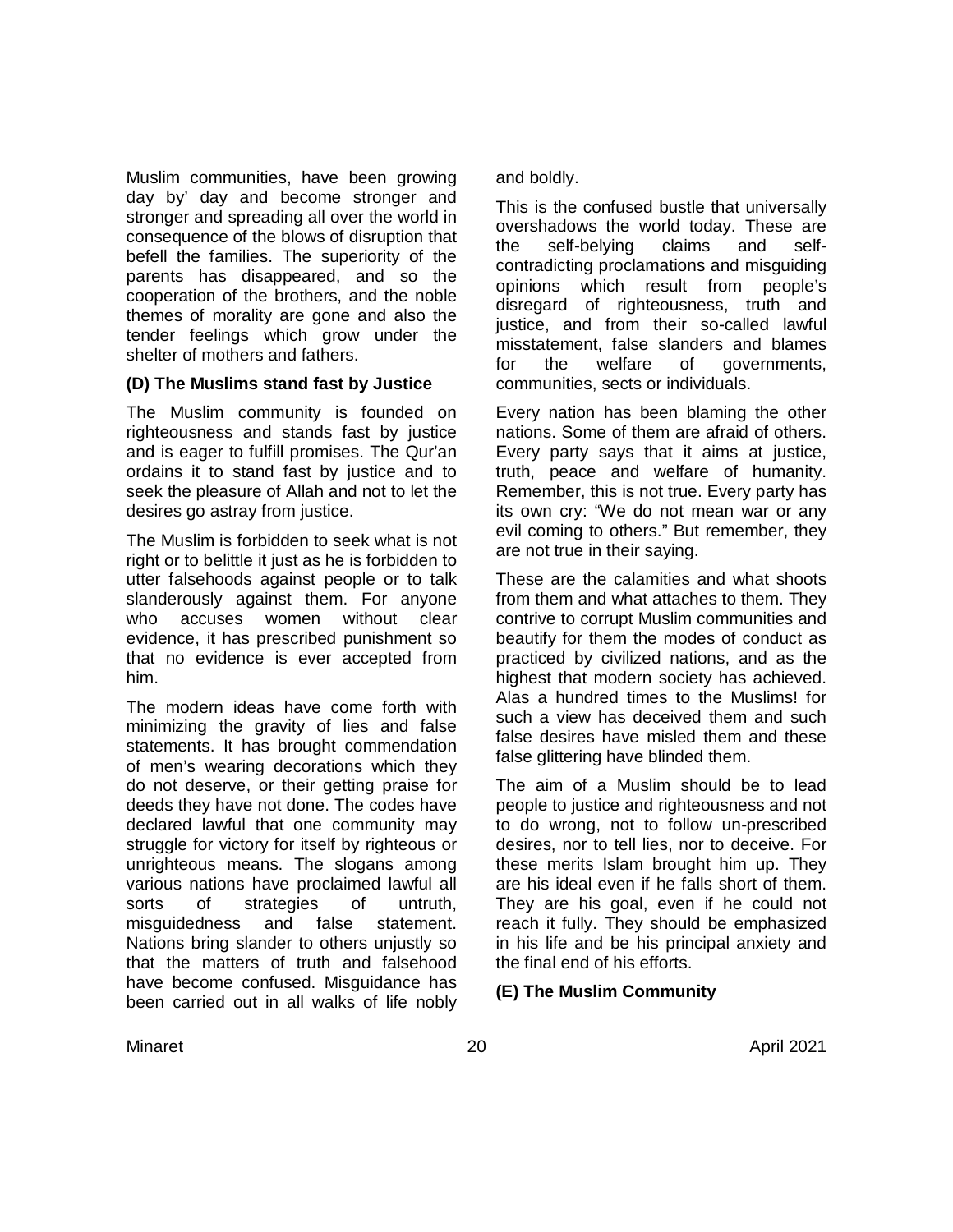Muslim communities, have been growing day by' day and become stronger and stronger and spreading all over the world in consequence of the blows of disruption that befell the families. The superiority of the parents has disappeared, and so the cooperation of the brothers, and the noble themes of morality are gone and also the tender feelings which grow under the shelter of mothers and fathers.

### **(D) The Muslims stand fast by Justice**

The Muslim community is founded on righteousness and stands fast by justice and is eager to fulfill promises. The Qur'an ordains it to stand fast by justice and to seek the pleasure of Allah and not to let the desires go astray from justice.

The Muslim is forbidden to seek what is not right or to belittle it just as he is forbidden to utter falsehoods against people or to talk slanderously against them. For anyone who accuses women without clear evidence, it has prescribed punishment so that no evidence is ever accepted from him.

The modern ideas have come forth with minimizing the gravity of lies and false statements. It has brought commendation of men's wearing decorations which they do not deserve, or their getting praise for deeds they have not done. The codes have declared lawful that one community may struggle for victory for itself by righteous or unrighteous means. The slogans among various nations have proclaimed lawful all sorts of strategies of untruth,<br>misquidedness and false statement. misguidedness and false statement. Nations bring slander to others unjustly so that the matters of truth and falsehood have become confused. Misguidance has been carried out in all walks of life nobly

and boldly.

This is the confused bustle that universally overshadows the world today. These are the self-belying claims and selfcontradicting proclamations and misguiding opinions which result from people's disregard of righteousness, truth and justice, and from their so-called lawful misstatement, false slanders and blames for the welfare of governments, communities, sects or individuals.

Every nation has been blaming the other nations. Some of them are afraid of others. Every party says that it aims at justice, truth, peace and welfare of humanity. Remember, this is not true. Every party has its own cry: "We do not mean war or any evil coming to others." But remember, they are not true in their saying.

These are the calamities and what shoots from them and what attaches to them. They contrive to corrupt Muslim communities and beautify for them the modes of conduct as practiced by civilized nations, and as the highest that modern society has achieved. Alas a hundred times to the Muslims! for such a view has deceived them and such false desires have misled them and these false glittering have blinded them.

The aim of a Muslim should be to lead people to justice and righteousness and not to do wrong, not to follow un-prescribed desires, nor to tell lies, nor to deceive. For these merits Islam brought him up. They are his ideal even if he falls short of them. They are his goal, even if he could not reach it fully. They should be emphasized in his life and be his principal anxiety and the final end of his efforts.

## **(E) The Muslim Community**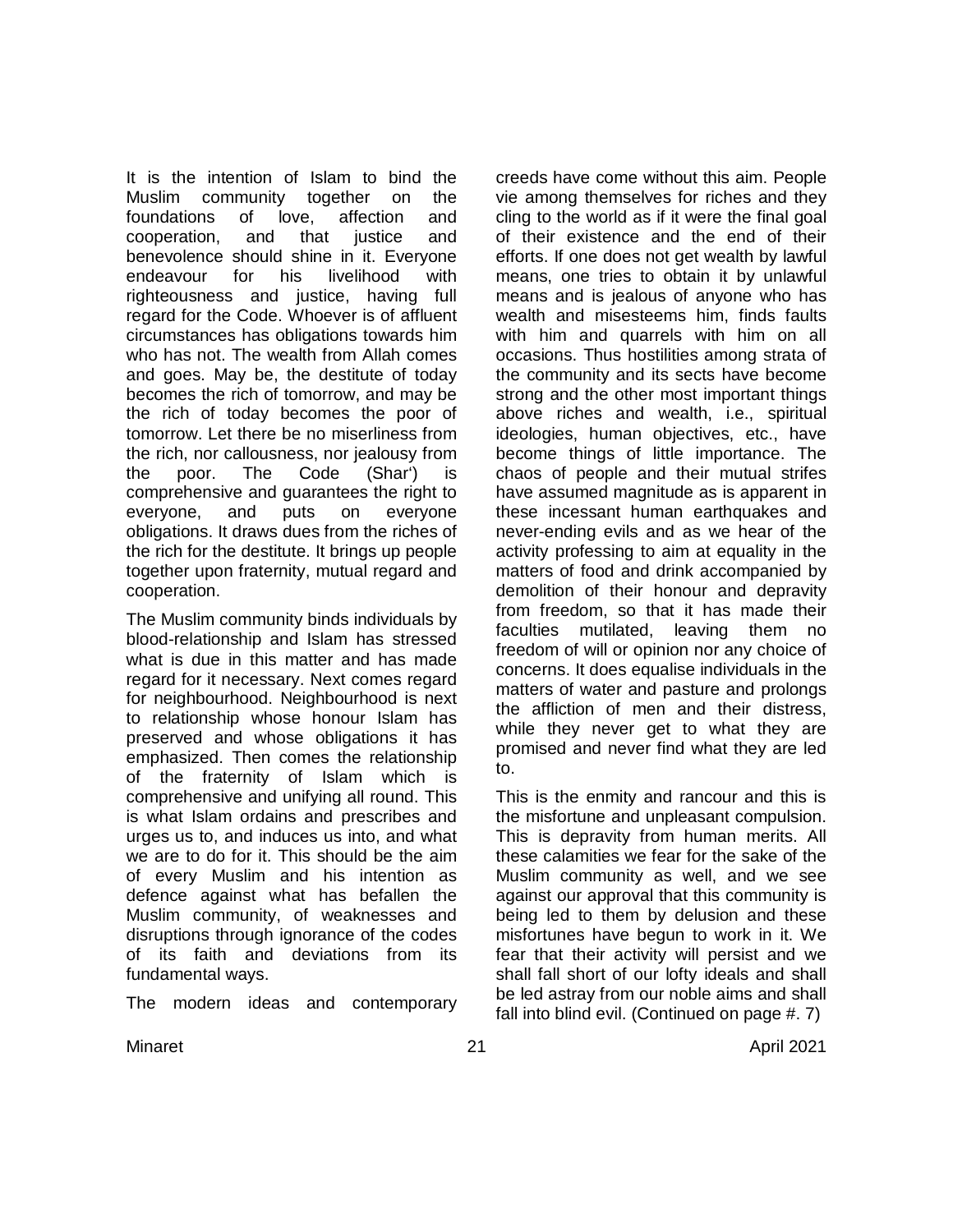It is the intention of Islam to bind the Muslim community together on the foundations of love, affection and cooperation, and that justice and benevolence should shine in it. Everyone endeavour for his livelihood with righteousness and justice, having full regard for the Code. Whoever is of affluent circumstances has obligations towards him who has not. The wealth from Allah comes and goes. May be, the destitute of today becomes the rich of tomorrow, and may be the rich of today becomes the poor of tomorrow. Let there be no miserliness from the rich, nor callousness, nor jealousy from the poor. The Code (Shar') is comprehensive and guarantees the right to everyone, and puts on everyone obligations. It draws dues from the riches of the rich for the destitute. It brings up people together upon fraternity, mutual regard and cooperation.

The Muslim community binds individuals by blood-relationship and Islam has stressed what is due in this matter and has made regard for it necessary. Next comes regard for neighbourhood. Neighbourhood is next to relationship whose honour Islam has preserved and whose obligations it has emphasized. Then comes the relationship of the fraternity of Islam which is comprehensive and unifying all round. This is what Islam ordains and prescribes and urges us to, and induces us into, and what we are to do for it. This should be the aim of every Muslim and his intention as defence against what has befallen the Muslim community, of weaknesses and disruptions through ignorance of the codes of its faith and deviations from its fundamental ways.

The modern ideas and contemporary

creeds have come without this aim. People vie among themselves for riches and they cling to the world as if it were the final goal of their existence and the end of their efforts. If one does not get wealth by lawful means, one tries to obtain it by unlawful means and is jealous of anyone who has wealth and misesteems him, finds faults with him and quarrels with him on all occasions. Thus hostilities among strata of the community and its sects have become strong and the other most important things above riches and wealth, i.e., spiritual ideologies, human objectives, etc., have become things of little importance. The chaos of people and their mutual strifes have assumed magnitude as is apparent in these incessant human earthquakes and never-ending evils and as we hear of the activity professing to aim at equality in the matters of food and drink accompanied by demolition of their honour and depravity from freedom, so that it has made their faculties mutilated, leaving them no freedom of will or opinion nor any choice of concerns. It does equalise individuals in the matters of water and pasture and prolongs the affliction of men and their distress, while they never get to what they are promised and never find what they are led to.

This is the enmity and rancour and this is the misfortune and unpleasant compulsion. This is depravity from human merits. All these calamities we fear for the sake of the Muslim community as well, and we see against our approval that this community is being led to them by delusion and these misfortunes have begun to work in it. We fear that their activity will persist and we shall fall short of our lofty ideals and shall be led astray from our noble aims and shall fall into blind evil. (Continued on page #. 7)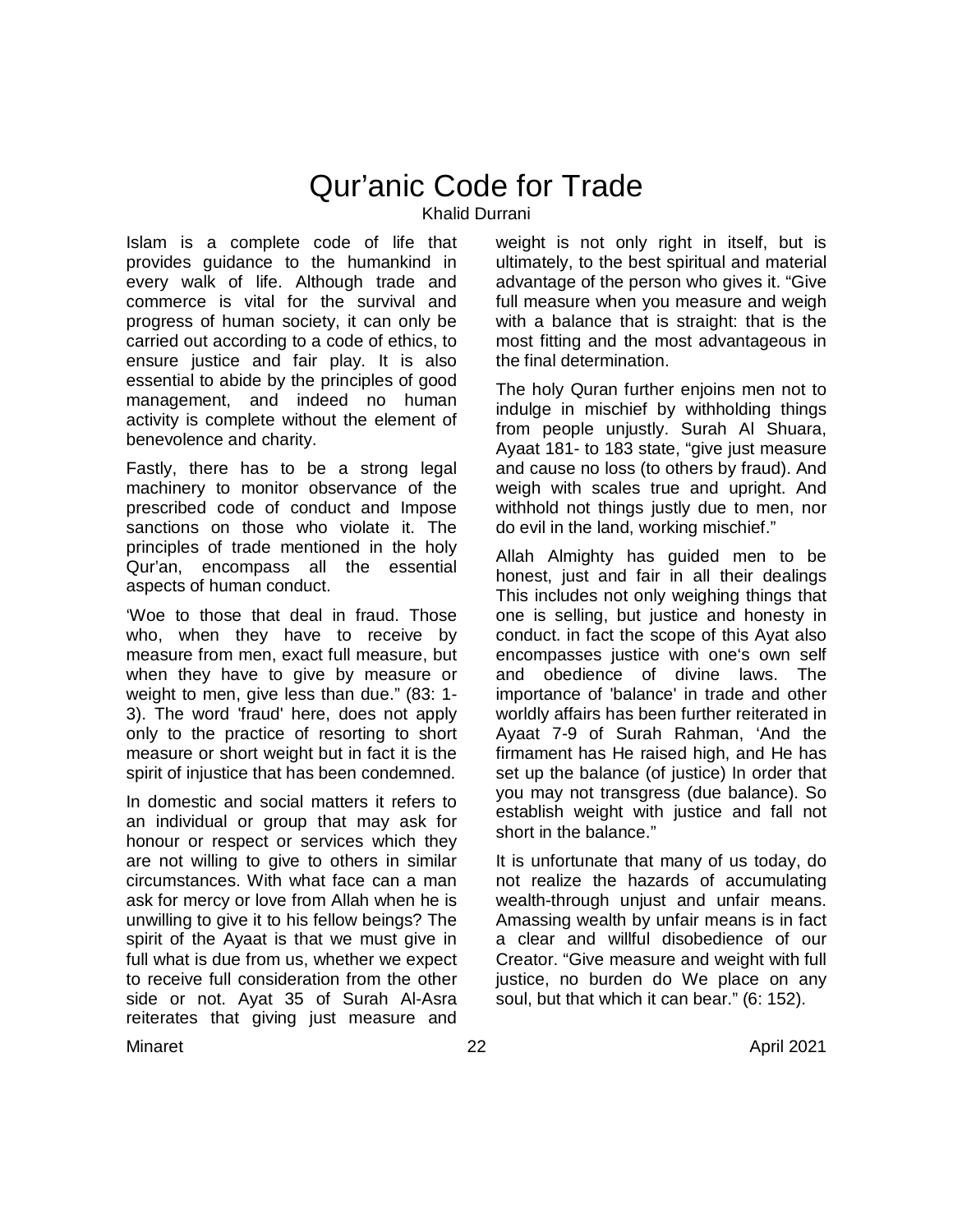# Qur'anic Code for Trade Khalid Durrani

Islam is a complete code of life that provides guidance to the humankind in every walk of life. Although trade and commerce is vital for the survival and progress of human society, it can only be carried out according to a code of ethics, to ensure justice and fair play. It is also essential to abide by the principles of good management, and indeed no human activity is complete without the element of benevolence and charity.

Fastly, there has to be a strong legal machinery to monitor observance of the prescribed code of conduct and Impose sanctions on those who violate it. The principles of trade mentioned in the holy Qur'an, encompass all the essential aspects of human conduct.

'Woe to those that deal in fraud. Those who, when they have to receive by measure from men, exact full measure, but when they have to give by measure or weight to men, give less than due." (83: 1- 3). The word 'fraud' here, does not apply only to the practice of resorting to short measure or short weight but in fact it is the spirit of injustice that has been condemned.

In domestic and social matters it refers to an individual or group that may ask for honour or respect or services which they are not willing to give to others in similar circumstances. With what face can a man ask for mercy or love from Allah when he is unwilling to give it to his fellow beings? The spirit of the Ayaat is that we must give in full what is due from us, whether we expect to receive full consideration from the other side or not. Ayat 35 of Surah Al-Asra reiterates that giving just measure and

weight is not only right in itself, but is ultimately, to the best spiritual and material advantage of the person who gives it. "Give full measure when you measure and weigh with a balance that is straight: that is the most fitting and the most advantageous in the final determination.

The holy Quran further enjoins men not to indulge in mischief by withholding things from people unjustly. Surah Al Shuara, Avaat 181- to 183 state, "give just measure and cause no loss (to others by fraud). And weigh with scales true and upright. And withhold not things justly due to men, nor do evil in the land, working mischief."

Allah Almighty has guided men to be honest, just and fair in all their dealings This includes not only weighing things that one is selling, but justice and honesty in conduct. in fact the scope of this Ayat also encompasses justice with one's own self and obedience of divine laws. The importance of 'balance' in trade and other worldly affairs has been further reiterated in Ayaat 7-9 of Surah Rahman, 'And the firmament has He raised high, and He has set up the balance (of justice) In order that you may not transgress (due balance). So establish weight with justice and fall not short in the balance."

It is unfortunate that many of us today, do not realize the hazards of accumulating wealth-through unjust and unfair means. Amassing wealth by unfair means is in fact a clear and willful disobedience of our Creator. "Give measure and weight with full justice, no burden do We place on any soul, but that which it can bear." (6: 152).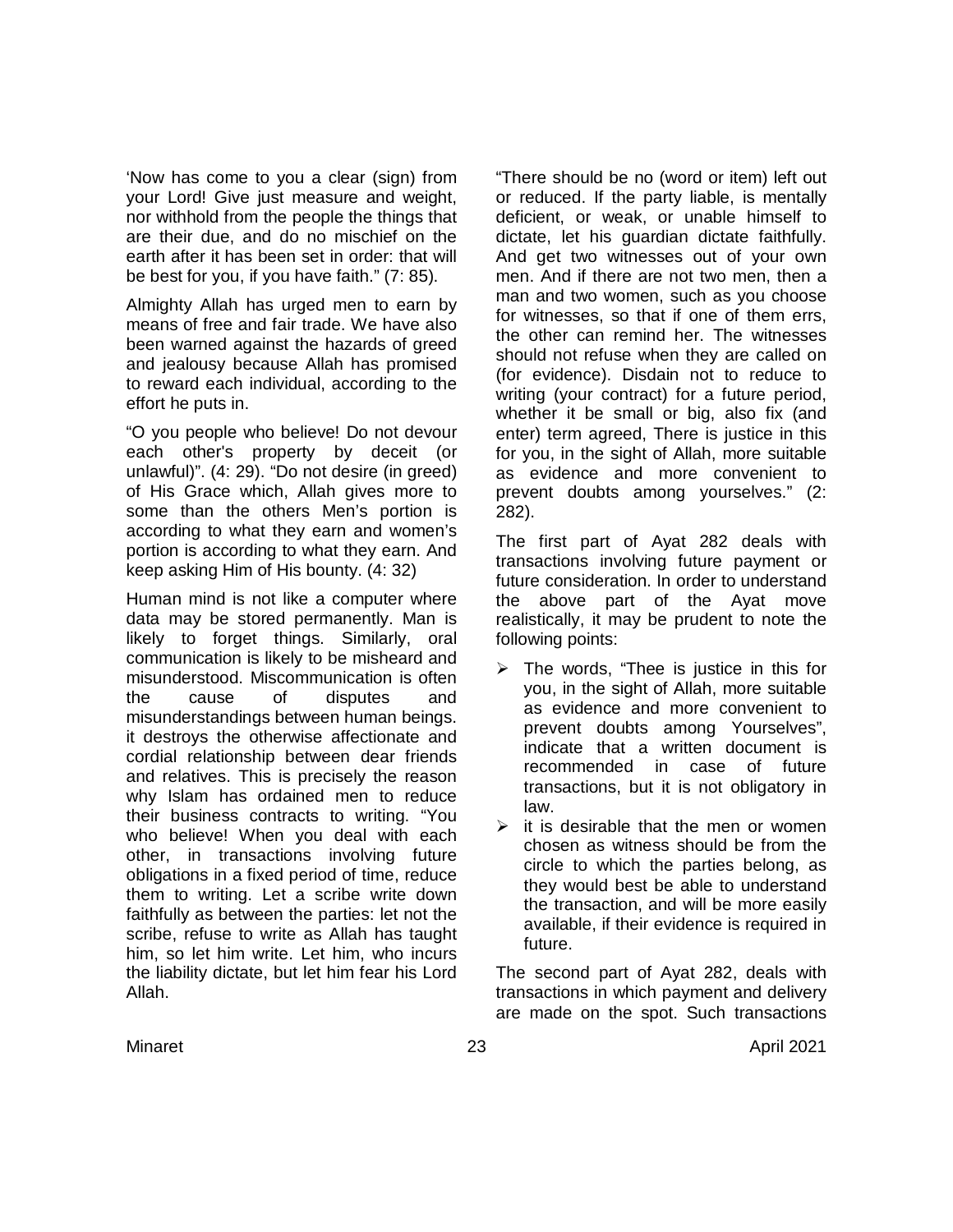'Now has come to you a clear (sign) from your Lord! Give just measure and weight, nor withhold from the people the things that are their due, and do no mischief on the earth after it has been set in order: that will be best for you, if you have faith." (7: 85).

Almighty Allah has urged men to earn by means of free and fair trade. We have also been warned against the hazards of greed and jealousy because Allah has promised to reward each individual, according to the effort he puts in.

"O you people who believe! Do not devour each other's property by deceit (or unlawful)". (4: 29). "Do not desire (in greed) of His Grace which, Allah gives more to some than the others Men's portion is according to what they earn and women's portion is according to what they earn. And keep asking Him of His bounty. (4: 32)

Human mind is not like a computer where data may be stored permanently. Man is likely to forget things. Similarly, oral communication is likely to be misheard and misunderstood. Miscommunication is often the cause of disputes and misunderstandings between human beings. it destroys the otherwise affectionate and cordial relationship between dear friends and relatives. This is precisely the reason why Islam has ordained men to reduce their business contracts to writing. "You who believe! When you deal with each other, in transactions involving future obligations in a fixed period of time, reduce them to writing. Let a scribe write down faithfully as between the parties: let not the scribe, refuse to write as Allah has taught him, so let him write. Let him, who incurs the liability dictate, but let him fear his Lord Allah.

"There should be no (word or item) left out or reduced. If the party liable, is mentally deficient, or weak, or unable himself to dictate, let his guardian dictate faithfully. And get two witnesses out of your own men. And if there are not two men, then a man and two women, such as you choose for witnesses, so that if one of them errs, the other can remind her. The witnesses should not refuse when they are called on (for evidence). Disdain not to reduce to writing (your contract) for a future period, whether it be small or big, also fix (and enter) term agreed, There is justice in this for you, in the sight of Allah, more suitable as evidence and more convenient to prevent doubts among yourselves." (2: 282).

The first part of Ayat 282 deals with transactions involving future payment or future consideration. In order to understand the above part of the Ayat move realistically, it may be prudent to note the following points:

- $\triangleright$  The words, "Thee is justice in this for you, in the sight of Allah, more suitable as evidence and more convenient to prevent doubts among Yourselves", indicate that a written document is recommended in case of future transactions, but it is not obligatory in law.
- $\triangleright$  it is desirable that the men or women chosen as witness should be from the circle to which the parties belong, as they would best be able to understand the transaction, and will be more easily available, if their evidence is required in future.

The second part of Ayat 282, deals with transactions in which payment and delivery are made on the spot. Such transactions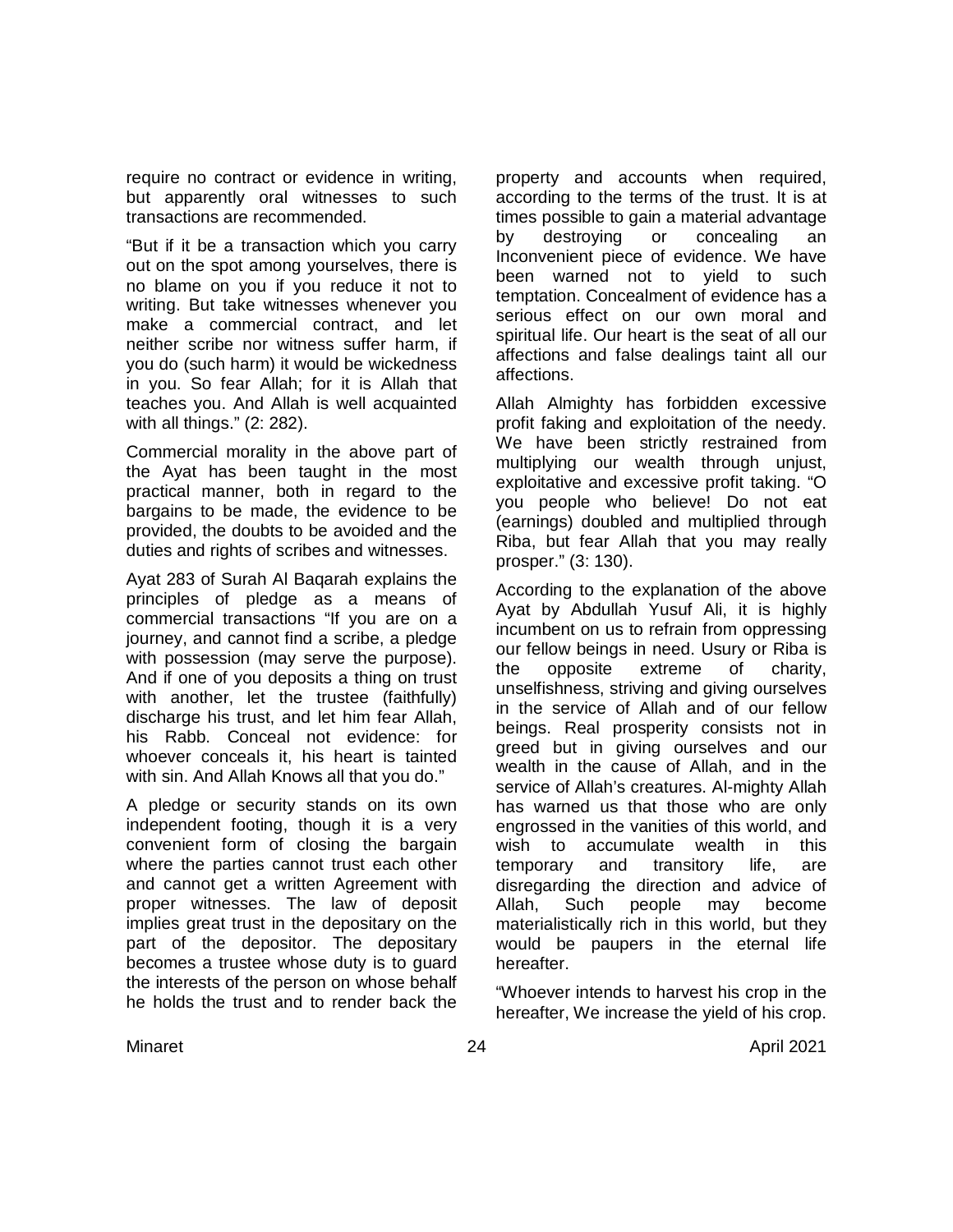require no contract or evidence in writing, but apparently oral witnesses to such transactions are recommended.

"But if it be a transaction which you carry out on the spot among yourselves, there is no blame on you if you reduce it not to writing. But take witnesses whenever you make a commercial contract, and let neither scribe nor witness suffer harm, if you do (such harm) it would be wickedness in you. So fear Allah; for it is Allah that teaches you. And Allah is well acquainted with all things." (2: 282).

Commercial morality in the above part of the Ayat has been taught in the most practical manner, both in regard to the bargains to be made, the evidence to be provided, the doubts to be avoided and the duties and rights of scribes and witnesses.

Ayat 283 of Surah Al Baqarah explains the principles of pledge as a means of commercial transactions "If you are on a journey, and cannot find a scribe, a pledge with possession (may serve the purpose). And if one of you deposits a thing on trust with another, let the trustee (faithfully) discharge his trust, and let him fear Allah, his Rabb. Conceal not evidence: for whoever conceals it, his heart is tainted with sin. And Allah Knows all that you do."

A pledge or security stands on its own independent footing, though it is a very convenient form of closing the bargain where the parties cannot trust each other and cannot get a written Agreement with proper witnesses. The law of deposit implies great trust in the depositary on the part of the depositor. The depositary becomes a trustee whose duty is to guard the interests of the person on whose behalf he holds the trust and to render back the property and accounts when required, according to the terms of the trust. It is at times possible to gain a material advantage by destroying or concealing an Inconvenient piece of evidence. We have been warned not to yield to such temptation. Concealment of evidence has a serious effect on our own moral and spiritual life. Our heart is the seat of all our affections and false dealings taint all our affections.

Allah Almighty has forbidden excessive profit faking and exploitation of the needy. We have been strictly restrained from multiplying our wealth through unjust, exploitative and excessive profit taking. "O you people who believe! Do not eat (earnings) doubled and multiplied through Riba, but fear Allah that you may really prosper." (3: 130).

According to the explanation of the above Ayat by Abdullah Yusuf Ali, it is highly incumbent on us to refrain from oppressing our fellow beings in need. Usury or Riba is the opposite extreme of charity, unselfishness, striving and giving ourselves in the service of Allah and of our fellow beings. Real prosperity consists not in greed but in giving ourselves and our wealth in the cause of Allah, and in the service of Allah's creatures. Al-mighty Allah has warned us that those who are only engrossed in the vanities of this world, and wish to accumulate wealth in this temporary and transitory life, are disregarding the direction and advice of Allah, Such people may become materialistically rich in this world, but they would be paupers in the eternal life hereafter.

"Whoever intends to harvest his crop in the hereafter, We increase the yield of his crop.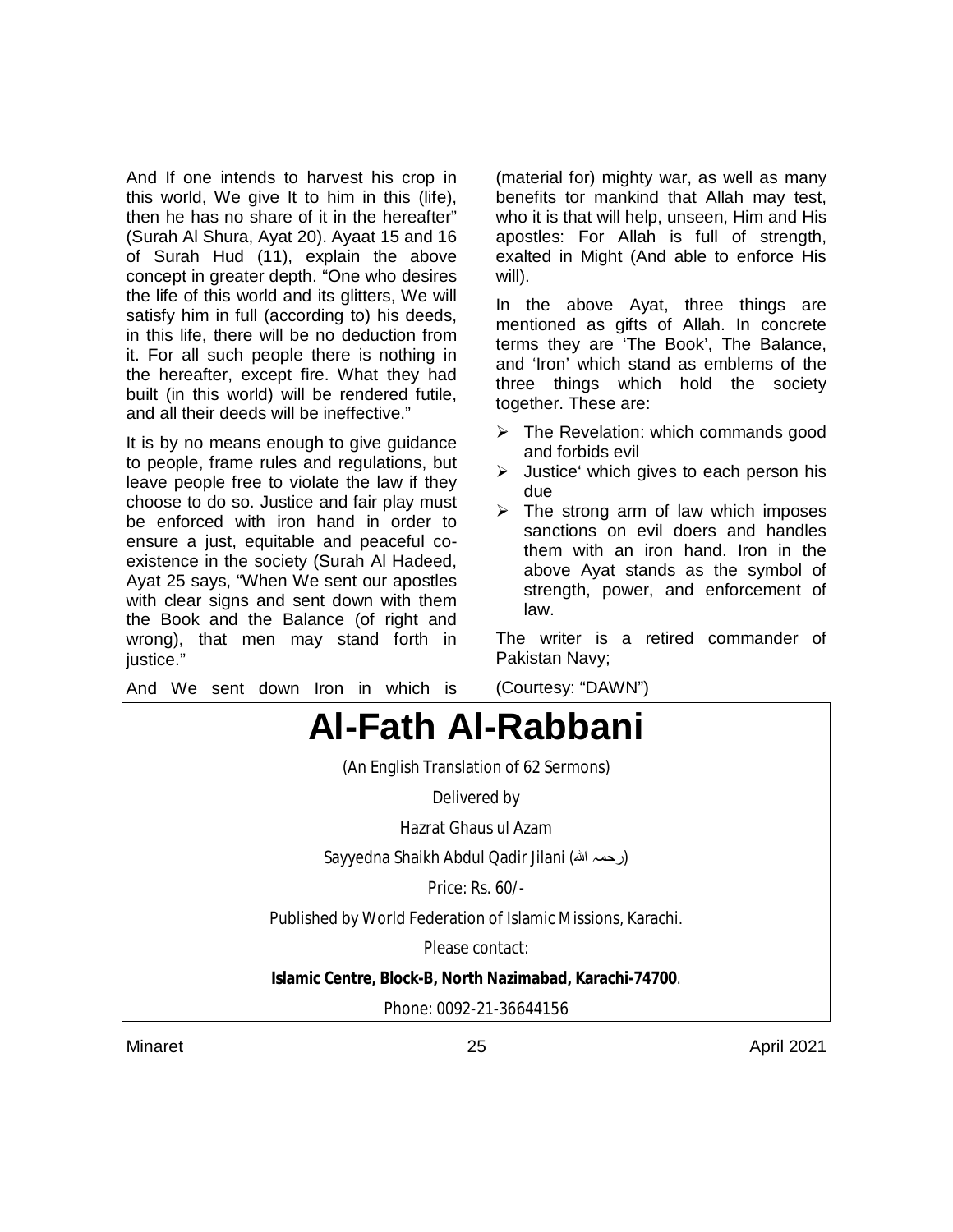And If one intends to harvest his crop in this world, We give It to him in this (life), then he has no share of it in the hereafter" (Surah Al Shura, Ayat 20). Ayaat 15 and 16 of Surah Hud (11), explain the above concept in greater depth. "One who desires the life of this world and its glitters, We will satisfy him in full (according to) his deeds, in this life, there will be no deduction from it. For all such people there is nothing in the hereafter, except fire. What they had built (in this world) will be rendered futile, and all their deeds will be ineffective."

It is by no means enough to give guidance to people, frame rules and regulations, but leave people free to violate the law if they choose to do so. Justice and fair play must be enforced with iron hand in order to ensure a just, equitable and peaceful coexistence in the society (Surah Al Hadeed, Ayat 25 says, "When We sent our apostles with clear signs and sent down with them the Book and the Balance (of right and wrong), that men may stand forth in justice."

And We sent down Iron in which is

(material for) mighty war, as well as many benefits tor mankind that Allah may test, who it is that will help, unseen, Him and His apostles: For Allah is full of strength, exalted in Might (And able to enforce His will).

In the above Ayat, three things are mentioned as gifts of Allah. In concrete terms they are 'The Book', The Balance, and 'Iron' which stand as emblems of the three things which hold the society together. These are:

- $\triangleright$  The Revelation: which commands good and forbids evil
- $\triangleright$  Justice' which gives to each person his due
- $\triangleright$  The strong arm of law which imposes sanctions on evil doers and handles them with an iron hand. Iron in the above Ayat stands as the symbol of strength, power, and enforcement of law.

The writer is a retired commander of Pakistan Navy;



Minaret 25 April 2021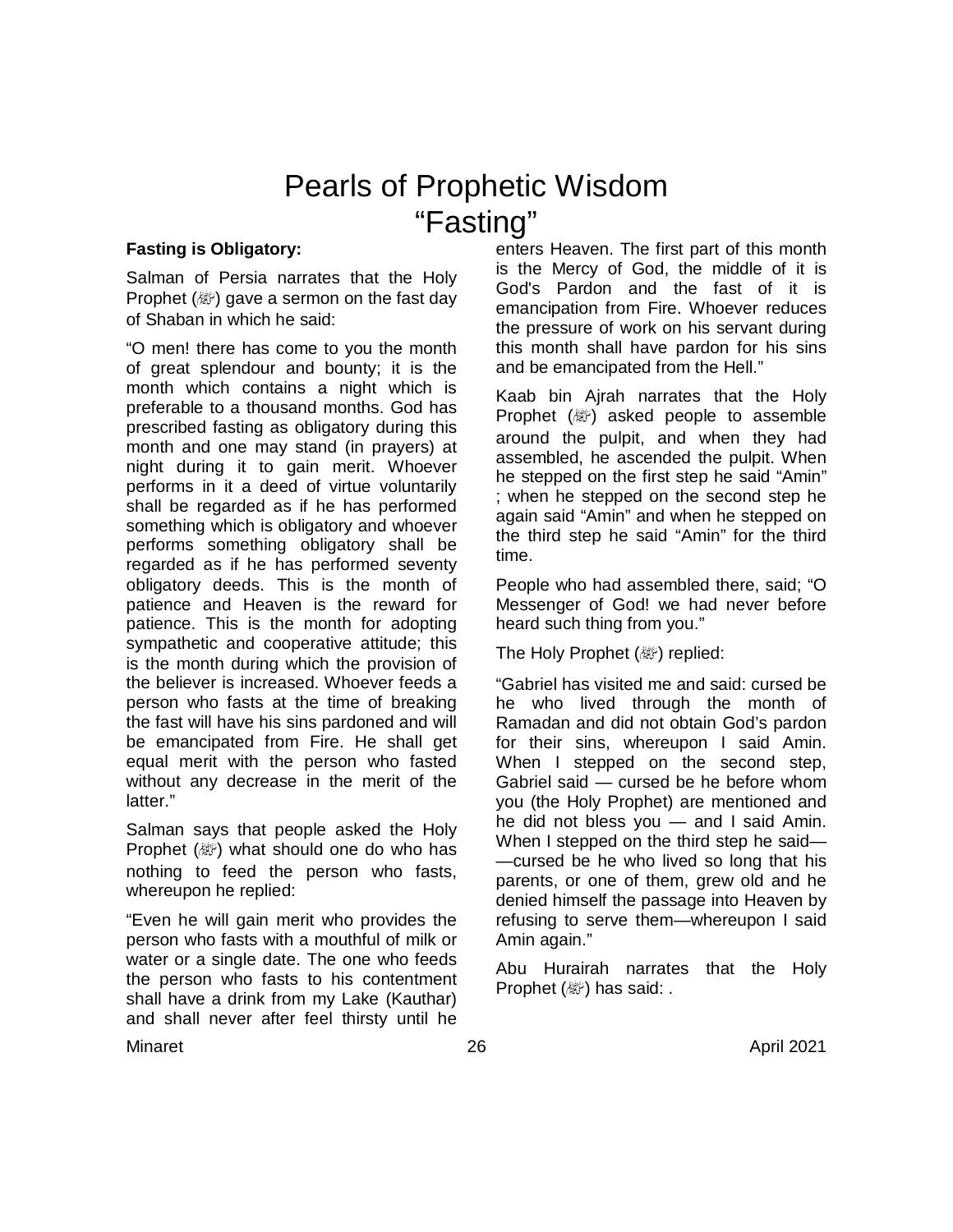# Pearls of Prophetic Wisdom "Fasting"

### **Fasting is Obligatory:**

Salman of Persia narrates that the Holy Prophet ( ) gave a sermon on the fast day of Shaban in which he said:

"O men! there has come to you the month of great splendour and bounty; it is the month which contains a night which is preferable to a thousand months. God has prescribed fasting as obligatory during this month and one may stand (in prayers) at night during it to gain merit. Whoever performs in it a deed of virtue voluntarily shall be regarded as if he has performed something which is obligatory and whoever performs something obligatory shall be regarded as if he has performed seventy obligatory deeds. This is the month of patience and Heaven is the reward for patience. This is the month for adopting sympathetic and cooperative attitude; this is the month during which the provision of the believer is increased. Whoever feeds a person who fasts at the time of breaking the fast will have his sins pardoned and will be emancipated from Fire. He shall get equal merit with the person who fasted without any decrease in the merit of the latter."

Salman says that people asked the Holy Prophet ( ) what should one do who has nothing to feed the person who fasts, whereupon he replied:

"Even he will gain merit who provides the person who fasts with a mouthful of milk or water or a single date. The one who feeds the person who fasts to his contentment shall have a drink from my Lake (Kauthar) and shall never after feel thirsty until he enters Heaven. The first part of this month is the Mercy of God, the middle of it is God's Pardon and the fast of it is emancipation from Fire. Whoever reduces the pressure of work on his servant during this month shall have pardon for his sins and be emancipated from the Hell."

Kaab bin Ajrah narrates that the Holy Prophet  $(\mathbb{Z})$  asked people to assemble around the pulpit, and when they had assembled, he ascended the pulpit. When he stepped on the first step he said "Amin" ; when he stepped on the second step he again said "Amin" and when he stepped on the third step he said "Amin" for the third time.

People who had assembled there, said; "O Messenger of God! we had never before heard such thing from you."

The Holy Prophet ( / will replied:

"Gabriel has visited me and said: cursed be he who lived through the month of Ramadan and did not obtain God's pardon for their sins, whereupon I said Amin. When I stepped on the second step, Gabriel said — cursed be he before whom you (the Holy Prophet) are mentioned and he did not bless you — and I said Amin. When I stepped on the third step he said— —cursed be he who lived so long that his parents, or one of them, grew old and he denied himself the passage into Heaven by refusing to serve them—whereupon I said Amin again."

Abu Hurairah narrates that the Holy Prophet ( ) has said: .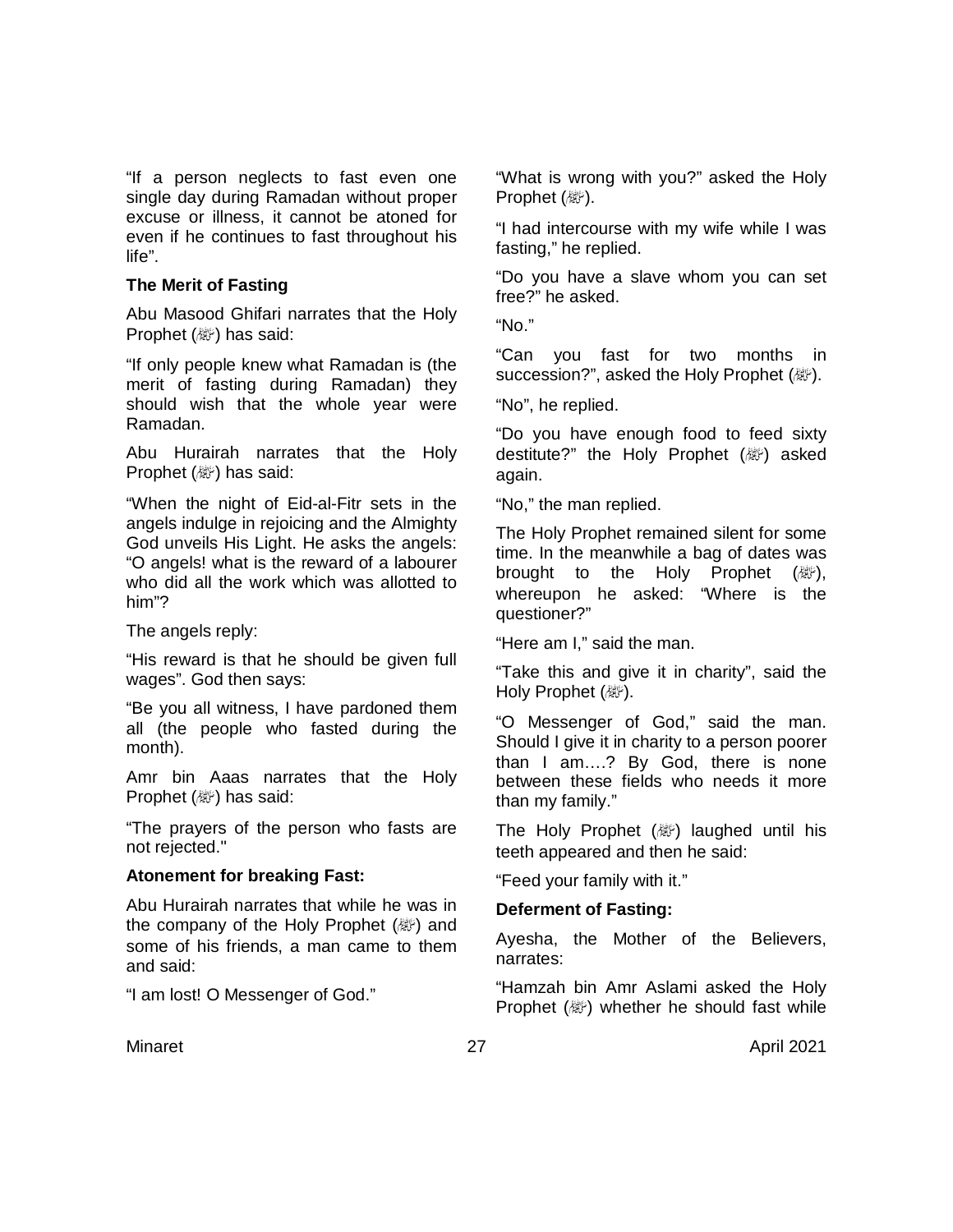"If a person neglects to fast even one single day during Ramadan without proper excuse or illness, it cannot be atoned for even if he continues to fast throughout his life".

### **The Merit of Fasting**

Abu Masood Ghifari narrates that the Holy Prophet ( ) has said:

"If only people knew what Ramadan is (the merit of fasting during Ramadan) they should wish that the whole year were Ramadan.

Abu Hurairah narrates that the Holy Prophet ( ) has said:

"When the night of Eid-al-Fitr sets in the angels indulge in rejoicing and the Almighty God unveils His Light. He asks the angels: "O angels! what is the reward of a labourer who did all the work which was allotted to him"?

The angels reply:

"His reward is that he should be given full wages". God then says:

"Be you all witness, I have pardoned them all (the people who fasted during the month).

Amr bin Aaas narrates that the Holy Prophet (變) has said:

"The prayers of the person who fasts are not rejected."

## **Atonement for breaking Fast:**

Abu Hurairah narrates that while he was in the company of the Holy Prophet (@) and some of his friends, a man came to them and said:

"I am lost! O Messenger of God."

"What is wrong with you?" asked the Holy Prophet (變).

"I had intercourse with my wife while I was fasting," he replied.

"Do you have a slave whom you can set free?" he asked.

"No."

"Can you fast for two months in succession?", asked the Holy Prophet (@).

"No", he replied.

"Do you have enough food to feed sixty destitute?" the Holy Prophet (@) asked again.

"No," the man replied.

The Holy Prophet remained silent for some time. In the meanwhile a bag of dates was brought to the Holy Prophet (a), whereupon he asked: "Where is the questioner?"

"Here am I," said the man.

"Take this and give it in charity", said the Holy Prophet (。).

"O Messenger of God," said the man. Should I give it in charity to a person poorer than I am….? By God, there is none between these fields who needs it more than my family."

The Holy Prophet ( ) laughed until his teeth appeared and then he said:

"Feed your family with it."

## **Deferment of Fasting:**

Ayesha, the Mother of the Believers, narrates:

"Hamzah bin Amr Aslami asked the Holy Prophet (@) whether he should fast while

Minaret 27 April 2021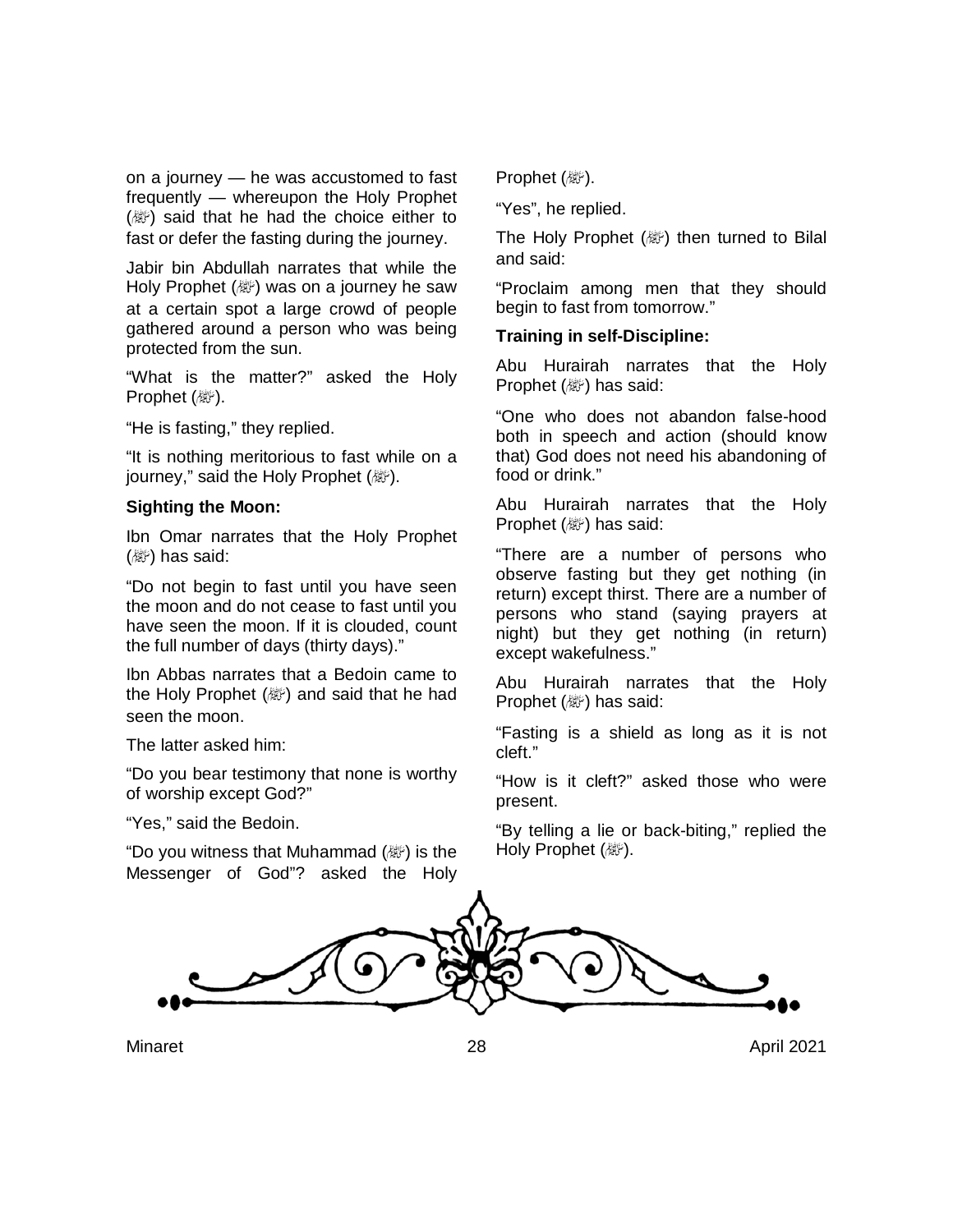on a journey — he was accustomed to fast frequently — whereupon the Holy Prophet (صلى الله عليه وسلم (said that he had the choice either to fast or defer the fasting during the journey.

Jabir bin Abdullah narrates that while the Holy Prophet (ﷺ) was on a journey he saw at a certain spot a large crowd of people gathered around a person who was being protected from the sun.

"What is the matter?" asked the Holy Prophet (變).

"He is fasting," they replied.

"It is nothing meritorious to fast while on a journey," said the Holy Prophet (。).

#### **Sighting the Moon:**

Ibn Omar narrates that the Holy Prophet  $(\&$ ) has said:

"Do not begin to fast until you have seen the moon and do not cease to fast until you have seen the moon. If it is clouded, count the full number of days (thirty days)."

Ibn Abbas narrates that a Bedoin came to the Holy Prophet (變) and said that he had seen the moon.

The latter asked him:

"Do you bear testimony that none is worthy of worship except God?"

"Yes," said the Bedoin.

"Do you witness that Muhammad (صلى الله عليه وسلم (is the Messenger of God"? asked the Holy

Prophet (變).

"Yes", he replied.

The Holy Prophet  $(\mathbb{Z})$  then turned to Bilal and said:

"Proclaim among men that they should begin to fast from tomorrow."

#### **Training in self-Discipline:**

Abu Hurairah narrates that the Holy Prophet (صلى الله عليه وسلم (has said:

"One who does not abandon false-hood both in speech and action (should know that) God does not need his abandoning of food or drink."

Abu Hurairah narrates that the Holy Prophet (變) has said:

"There are a number of persons who observe fasting but they get nothing (in return) except thirst. There are a number of persons who stand (saying prayers at night) but they get nothing (in return) except wakefulness."

Abu Hurairah narrates that the Holy Prophet (變) has said:

"Fasting is a shield as long as it is not cleft."

"How is it cleft?" asked those who were present.

"By telling a lie or back-biting," replied the Holy Prophet (變).

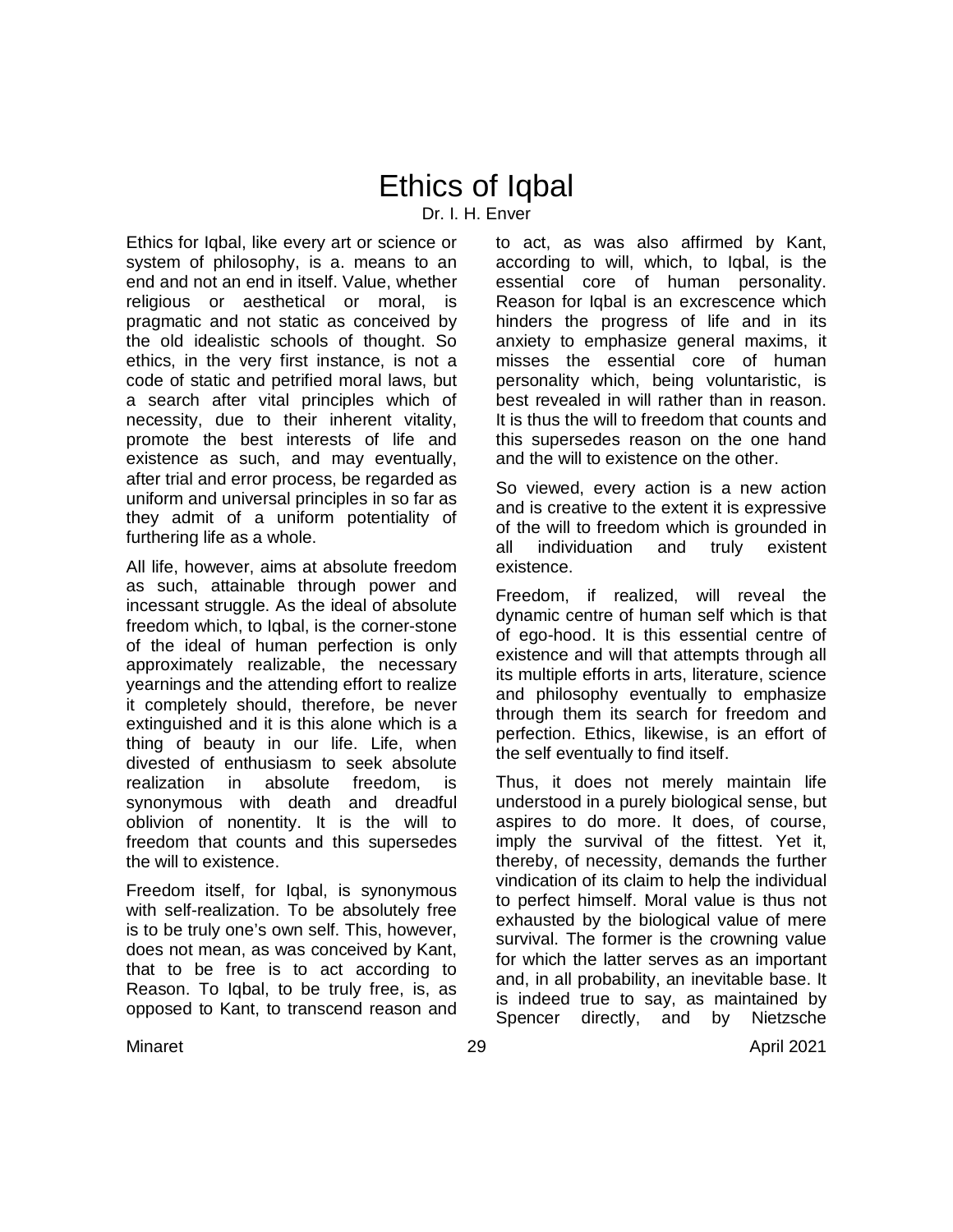# Ethics of Iqbal Dr. I. H. Enver

Ethics for Iqbal, like every art or science or system of philosophy, is a. means to an end and not an end in itself. Value, whether religious or aesthetical or moral, is pragmatic and not static as conceived by the old idealistic schools of thought. So ethics, in the very first instance, is not a code of static and petrified moral laws, but a search after vital principles which of necessity, due to their inherent vitality, promote the best interests of life and existence as such, and may eventually, after trial and error process, be regarded as uniform and universal principles in so far as they admit of a uniform potentiality of furthering life as a whole.

All life, however, aims at absolute freedom as such, attainable through power and incessant struggle. As the ideal of absolute freedom which, to Iqbal, is the corner-stone of the ideal of human perfection is only approximately realizable, the necessary yearnings and the attending effort to realize it completely should, therefore, be never extinguished and it is this alone which is a thing of beauty in our life. Life, when divested of enthusiasm to seek absolute realization in absolute freedom, is synonymous with death and dreadful oblivion of nonentity. It is the will to freedom that counts and this supersedes the will to existence.

Freedom itself, for Iqbal, is synonymous with self-realization. To be absolutely free is to be truly one's own self. This, however, does not mean, as was conceived by Kant, that to be free is to act according to Reason. To Iqbal, to be truly free, is, as opposed to Kant, to transcend reason and

to act, as was also affirmed by Kant, according to will, which, to Iqbal, is the essential core of human personality. Reason for Iqbal is an excrescence which hinders the progress of life and in its anxiety to emphasize general maxims, it misses the essential core of human personality which, being voluntaristic, is best revealed in will rather than in reason. It is thus the will to freedom that counts and this supersedes reason on the one hand and the will to existence on the other.

So viewed, every action is a new action and is creative to the extent it is expressive of the will to freedom which is grounded in all individuation and truly existent existence.

Freedom, if realized, will reveal the dynamic centre of human self which is that of ego-hood. It is this essential centre of existence and will that attempts through all its multiple efforts in arts, literature, science and philosophy eventually to emphasize through them its search for freedom and perfection. Ethics, likewise, is an effort of the self eventually to find itself.

Thus, it does not merely maintain life understood in a purely biological sense, but aspires to do more. It does, of course, imply the survival of the fittest. Yet it, thereby, of necessity, demands the further vindication of its claim to help the individual to perfect himself. Moral value is thus not exhausted by the biological value of mere survival. The former is the crowning value for which the latter serves as an important and, in all probability, an inevitable base. It is indeed true to say, as maintained by Spencer directly, and by Nietzsche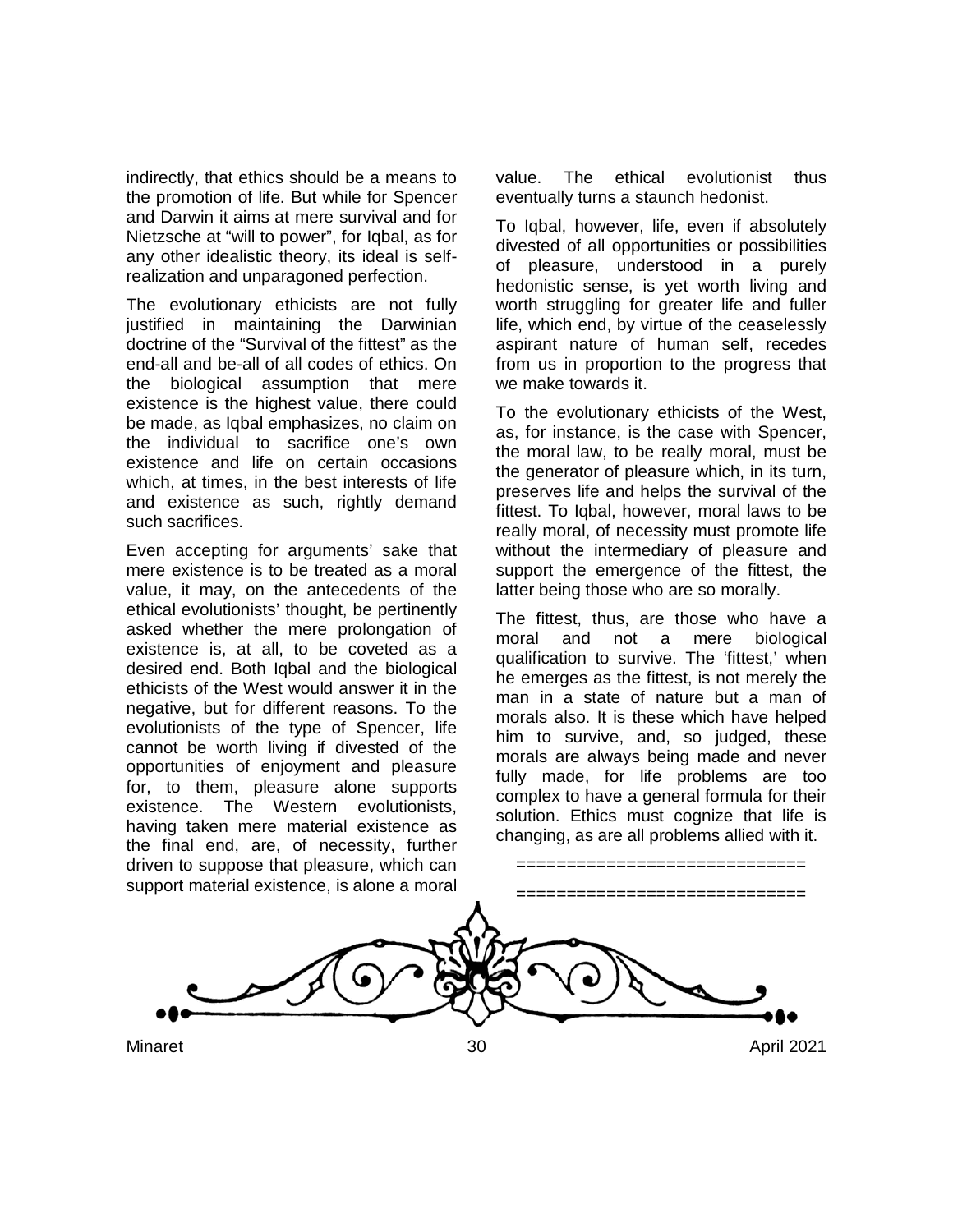indirectly, that ethics should be a means to the promotion of life. But while for Spencer and Darwin it aims at mere survival and for Nietzsche at "will to power", for Iqbal, as for any other idealistic theory, its ideal is selfrealization and unparagoned perfection.

The evolutionary ethicists are not fully justified in maintaining the Darwinian doctrine of the "Survival of the fittest" as the end-all and be-all of all codes of ethics. On the biological assumption that mere existence is the highest value, there could be made, as Iqbal emphasizes, no claim on the individual to sacrifice one's own existence and life on certain occasions which, at times, in the best interests of life and existence as such, rightly demand such sacrifices.

Even accepting for arguments' sake that mere existence is to be treated as a moral value, it may, on the antecedents of the ethical evolutionists' thought, be pertinently asked whether the mere prolongation of existence is, at all, to be coveted as a desired end. Both Iqbal and the biological ethicists of the West would answer it in the negative, but for different reasons. To the evolutionists of the type of Spencer, life cannot be worth living if divested of the opportunities of enjoyment and pleasure for, to them, pleasure alone supports existence. The Western evolutionists, having taken mere material existence as the final end, are, of necessity, further driven to suppose that pleasure, which can support material existence, is alone a moral value. The ethical evolutionist thus eventually turns a staunch hedonist.

To Iqbal, however, life, even if absolutely divested of all opportunities or possibilities of pleasure, understood in a purely hedonistic sense, is yet worth living and worth struggling for greater life and fuller life, which end, by virtue of the ceaselessly aspirant nature of human self, recedes from us in proportion to the progress that we make towards it.

To the evolutionary ethicists of the West, as, for instance, is the case with Spencer, the moral law, to be really moral, must be the generator of pleasure which, in its turn, preserves life and helps the survival of the fittest. To Iqbal, however, moral laws to be really moral, of necessity must promote life without the intermediary of pleasure and support the emergence of the fittest, the latter being those who are so morally.

The fittest, thus, are those who have a moral and not a mere biological qualification to survive. The 'fittest,' when he emerges as the fittest, is not merely the man in a state of nature but a man of morals also. It is these which have helped him to survive, and, so judged, these morals are always being made and never fully made, for life problems are too complex to have a general formula for their solution. Ethics must cognize that life is changing, as are all problems allied with it.

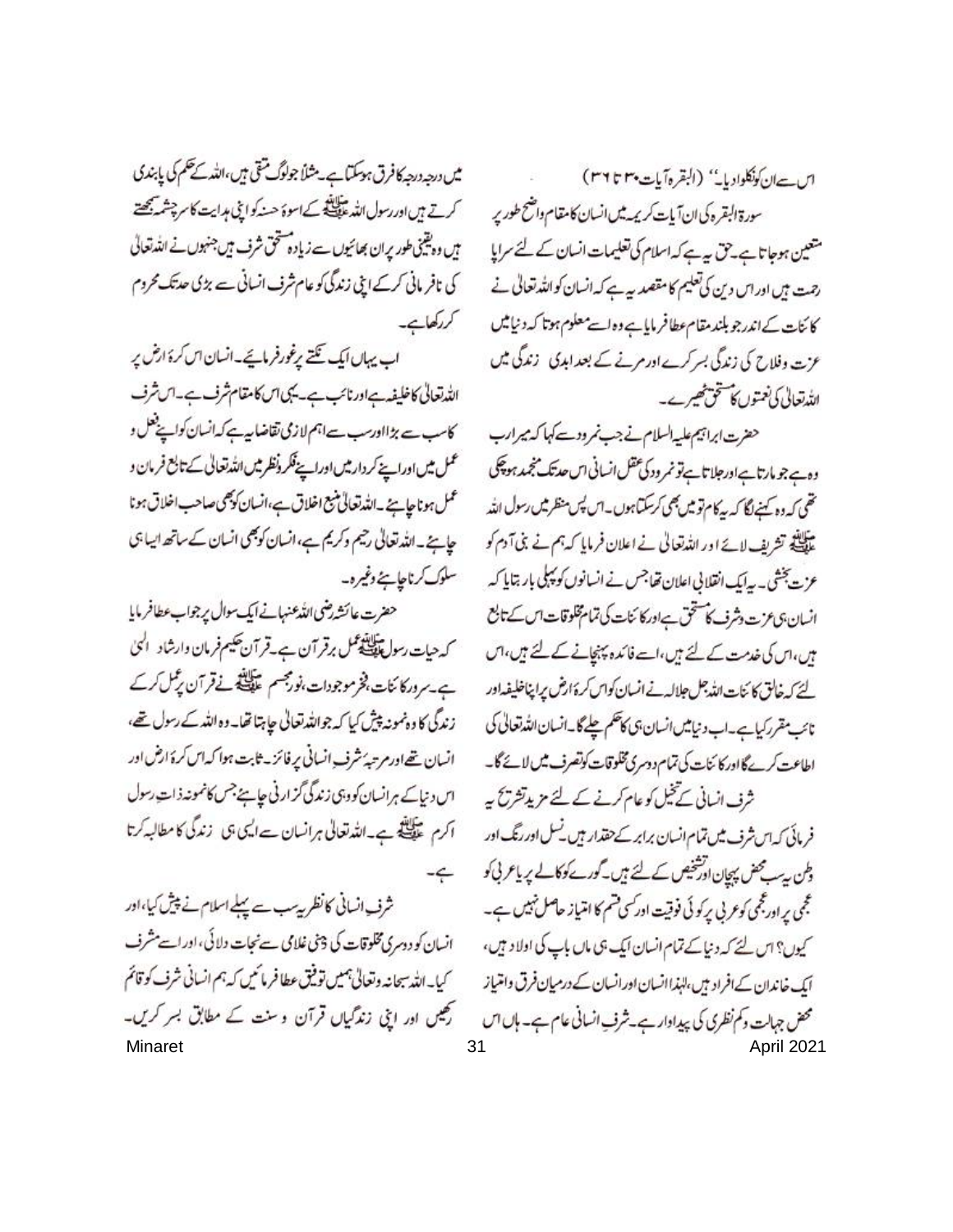میں درجہ درجہ کافرق ہوسکتا ہے۔ مثلاً جولوگ متقی ہیں،اللہ کے حکم کی پابندی کرتے ہیں اور رسول اللہ علاقات کے اسوۂ حسنہ کو اینی ہدایت کا سرچشمہ بھیتے ہیں وہ یقینی طور پران بھائیوں ہے زیادہ متحق شرف ہیں جنہوں نے اللہ تعالی کی نافر مائی کرکے اپنی زندگی کو عام شرف انسانی سے بڑی حدتک محروم کردکھاہے۔

اب پہاں ایک تکتے پرغورفرمائے۔انسان اس کرۂ ارض پر اللدتعالى كاخليفه باورنائب ہے۔ يكي اس كامقام شرف ہے۔ اس شرف کاسب سے بڑااورسب ہےاہم لازمی تقاضا پیہ کہ انسان کواپنے فعل و عمل میں اوراہے کر دارمیں اوراپے فکر ونظر میں اللہ تعالیٰ کے تابع فرمان و عمل ہونا حاتے۔اللہ تعالیٰ بنیع اخلاق ہے،انسان کو بھی صاحب اخلاق ہونا حاجے۔اللہ تعالیٰ رحیم وکریم ہے،انسان کوبھی انسان کے ساتھ ایسا ہی سلوک کرناحا ہنے وغیرہ۔

حضرت عائشه رضى الله عنهانے ایک سوال پر جواب عطافر مایا کہ حیات رسول اللہ علی مرقر آن ہے۔قرآن حکیم فرمان وارشاد الٰہیٰ ہے۔ مرور کا ئنات، فخر موجودات،نورمجسم عدالکیفی نے قرآن ریکل کرکے زندگی کا دہنمونہ پیش کیا کہ جواللہ تعالٰی جا ہتا تھا۔ وہ اللہ کے رسول تھے، انسان تھےاور مرتبہُ شرف انسانی پر فائز۔ ثابت ہوا کہ اس کرۂ ارض اور اس دنیا کے ہرانسان کووہی زندگی گزارنی حاجے جس کانمونہ ذات رسول اکرم علیلتے ہے۔اللہ تعالی ہرانسان ہےایں جان زندگی کا مطالبہ کرتا  $-6$ 

شرف انسانی کانظر پیب سے پہلے اسلام نے پیش کیا،اور انسان کو دوسری مخلوقات کی 3فی غلامی سے نجات دلائی، اور اسے مشرف كيابه الله سبحانه وتعالى جميس توفيق عطا فرمائيس كه جم انساني شرف كوقائم ر میں اور اپنی زند گیاں قرآن وسنت کے مطابق بسر کریں۔

اس - ان كونكلواديا- " (البقرهآيات بهم ٣٦ ٣٦) سورة البقره كى ان آيات كريمه ميس انسان كامقام واضح طورير متعین ہوجاتا ہے۔ حق یہ ہے کہ اسلام کی تعلیمات انسان کے لئے سرایا رحت ہیں اور اس دین کی تعلیم کامقصد ہے ہے کہ انسان کو اللہ تعالیٰ نے كائنات كےاندرجو بلندمقام عطافر ماياہے وہ اسے معلوم ہوتا كہ دنيا ميں عزت وفلاح کی زندگی بسر کرے ادر مرنے کے بعد ابدی زندگی میں الله تعالى كى نعتوں كا تتخت خيبرے۔

حضرت ابراتيم عليه السلام نے جب نمر ودے کہا کہ میرارب وہے جو مارتاہےاورجلاتاہےتو نمر ود کی عقل انسانی اس حدیثک منجید ہو پھی تھی کہ دہ کہنے لگا کہ بیکام تو میں بھی کرسکتا ہوں۔ اس پس منظر میں رسول اللہ ۔<br>علیلنڈ تشریف لائے اور اللہ تعالیٰ نے اعلان فرمایا کہ ہم نے بنی آدم کو عزت پخشی۔ بہ ایک انقلابی اعلان تھاجس نے انسانوں کو پہلی بار بتایا کہ انسان بى عزت وشرف كاستحق بداوركا تنات كى تمام تلوقات اس كے تابع یں، اس کی خدمت کے لئے ہیں، اسے فائدہ پہنچانے کے لئے ہیں، اس لتحكير خالق كائنات الله جل جلاله فے انسان كواس كرة ارض يرا پناخليفداور نائب مقرر کیاہے۔اب دنیامیں انسان ہی کانکھم چلے گا۔انسان اللہ تعالیٰ کی اطاعت کرےگا اور کا سات کی تمام دوسری مخلوقات کوتصرف میں لائے گا۔ ثرف انسانی تے خیل کو عام کرنے کے لئے مزید تشریح ہے فریائی کہ اس شرف میں تمام انسان برابر کے حقدار ہیں۔نسل اور رنگ اور ہلن پیسے محض پہچان اوشخیص کے لئے ہیں۔ گورے کوکالے پر پاعر پی کو عجمی پر اورمجی کوعربی پرکوئی فوقیت اورکسی قسم کا امتیاز حاصل نہیں ہے۔ کیوں؟ اس لئے کہ دنیا کے تمام انسان ایک ہی ماں باپ کی اولاد ہیں، ایک خاندان کے افراد ہیں، لہٰذاانسان اور انسان کے درمیان فرق وائتیاز محض جہان وکم نظری کی پیداوار ہے۔شرف انسانی عام ہے۔ ہاں اس Minaret 31 April 2021